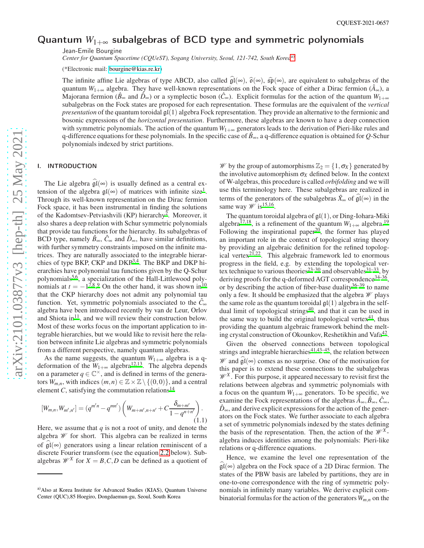# Quantum *W*<sub>1+∞</sub> subalgebras of BCD type and symmetric polynomials

Jean-Emile Bourgine

*Center for Quantum Spacetime (CQUeST), Sogang University, Seoul, 121-742, South Korea*[a\)](#page-0-0)

(\*Electronic mail: [bourgine@kias.re.kr\)](mailto:bourgine@kias.re.kr)

The infinite affine Lie algebras of type ABCD, also called  $\hat{\mathfrak{gl}}(\infty)$ ,  $\hat{\mathfrak{gl}}(\infty)$ , are equivalent to subalgebras of the quantum  $W_{1+\infty}$  algebra. They have well-known representations on the Fock space of either a Dirac fermion ( $\hat{A}_{\infty}$ ), a Majorana fermion ( $\hat{\beta}_{\infty}$  and  $\hat{D}_{\infty}$ ) or a symplectic boson ( $\hat{C}_{\infty}$ ). Explicit formulas for the action of the quantum  $W_{1+\infty}$ subalgebras on the Fock states are proposed for each representation. These formulas are the equivalent of the *vertical presentation* of the quantum toroidal gl(1) algebra Fock representation. They provide an alternative to the fermionic and bosonic expressions of the *horizontal presentation*. Furthermore, these algebras are known to have a deep connection with symmetric polynomials. The action of the quantum  $W_{1+\infty}$  generators leads to the derivation of Pieri-like rules and q-difference equations for these polynomials. In the specific case of  $\hat{B}_{\infty}$ , a q-difference equation is obtained for *Q*-Schur polynomials indexed by strict partitions.

#### I. INTRODUCTION

The Lie algebra  $\mathfrak{gl}(\infty)$  is usually defined as a central extension of the algebra  $\mathfrak{gl}(\infty)$  of matrices with infinite size<sup>[1](#page-21-0)</sup>. Through its well-known representation on the Dirac fermion Fock space, it has been instrumental in finding the solutions of the Kadomtsev-Petviashvili (KP) hierarchy<sup>[2](#page-21-1)</sup>. Moreover, it also shares a deep relation with Schur symmetric polynomials that provide tau functions for the hierarchy. Its subalgebras of BCD type, namely  $\hat{B}_{\infty}$ ,  $\hat{C}_{\infty}$  and  $\hat{D}_{\infty}$ , have similar definitions, with further symmetry constraints imposed on the infinite matrices. They are naturally associated to the integrable hierar-chies of type BK[P](#page-21-2), CKP and DKP<sup>3[,4](#page-21-3)</sup>. The BKP and DKP hierarchies have polynomial tau functions given by the Q-Schur polynomials<sup>[5](#page-21-4)[,6](#page-21-5)</sup>, a specialization of the Hall-Littlewood polynomials at  $t = -1^{7,8,9}$  $t = -1^{7,8,9}$  $t = -1^{7,8,9}$  $t = -1^{7,8,9}$  $t = -1^{7,8,9}$  $t = -1^{7,8,9}$  On the other hand, it was shown in<sup>[10](#page-21-9)</sup> that the CKP hierarchy does not admit any polynomial tau function. Yet, symmetric polynomials associated to the  $\hat{C}_{\infty}$ algebra have been introduced recently by van de Leur, Orlov and Shiota in<sup>[11](#page-21-10)</sup>, and we will review their construction below. Most of these works focus on the important application to integrable hierarchies, but we would like to revisit here the relation between infinite Lie algebras and symmetric polynomials from a different perspective, namely quantum algebras.

As the name suggests, the quantum  $W_{1+\infty}$  algebra is a qdeformation of the  $W_{1+\infty}$  algebra<sup>[12](#page-21-11)[,13](#page-21-12)</sup>. The algebra depends on a parameter  $q \in \mathbb{C}^{\times}$ , and is defined in terms of the generators  $W_{m,n}$ , with indices  $(m,n) \in \mathbb{Z} \times \mathbb{Z} \setminus \{(0,0)\}\)$ , and a central element *C*, satisfying the commutation relations<sup>[14](#page-21-13)</sup>

<span id="page-0-1"></span>
$$
[W_{m,n}, W_{m',n'}] = (q^{m'n} - q^{mn'}) \left( W_{m+m',n+n'} + C \frac{\delta_{m+m'}}{1 - q^{n+m'}} \right). \tag{1.1}
$$

Here, we assume that  $q$  is not a root of unity, and denote the algebra W for short. This algebra can be realized in terms of  $\mathfrak{gl}(\infty)$  generators using a linear relation reminiscent of a discrete Fourier transform (see the equation [2.2](#page-1-0) below). Subalgebras  $\mathcal{W}^X$  for  $X = B, C, D$  can be defined as a quotient of

W by the group of automorphisms  $\mathbb{Z}_2 = \{1, \sigma_X\}$  generated by the involutive automorphism  $\sigma_X$  defined below. In the context of W-algebras, this procedure is called *orbifolding* and we will use this terminology here. These subalgebras are realized in terms of the generators of the subalgebras  $\hat{X}_{\infty}$  of  $\hat{\mathfrak{gl}}(\infty)$  in the same way  $\mathscr{W}$  is <sup>[15](#page-21-14)[,16](#page-21-15)</sup>.

The quantum toroidal algebra of  $\mathfrak{gl}(1)$ , or Ding-Iohara-Miki algebra<sup>[17](#page-21-16)[,18](#page-21-17)</sup>, is a refinement of the quantum  $W_{1+\infty}$  algebra.<sup>[19](#page-21-18)</sup> Following the inspirational paper<sup>[20](#page-21-19)</sup>, the former has played an important role in the context of topological string theory by providing an algebraic definition for the refined topolog-ical vertex<sup>[21](#page-21-20)[,22](#page-21-21)</sup>. This algebraic framework led to enormous progress in the field, e.g. by extending the topological ver-tex technique to various theories<sup>[23](#page-21-22)[–30](#page-21-23)</sup> and observables<sup>[31](#page-21-24)[–33](#page-21-25)</sup>, by deriving proofs for the q-deformed AGT correspondence<sup>[34–](#page-21-26)[36](#page-21-27)</sup>, or by describing the action of fiber-base duality  $36-39$  $36-39$  to name only a few. It should be emphasized that the algebra  $\mathcal W$  plays the same role as the quantum toroidal  $q(1)$  algebra in the self-dual limit of topological strings<sup>[40](#page-21-29)</sup>, and that it can be used in the same way to build the original topological vertex $41$ , thus providing the quantum algebraic framework behind the melt-ing crystal construction of Okounkov, Reshetikhin and Vafa<sup>[42](#page-21-31)</sup>.

Given the observed connections between topological strings and integrable hierarchies $41,43-45$  $41,43-45$  $41,43-45$ , the relation between *W* and  $\tilde{gl}(\infty)$  comes as no surprise. One of the motivation for this paper is to extend these connections to the subalgebras  $\mathscr{W}^X$ . For this purpose, it appeared necessary to revisit first the relations between algebras and symmetric polynomials with a focus on the quantum  $W_{1+\infty}$  generators. To be specific, we examine the Fock representations of the algebras  $\hat{A}_{\infty}, \hat{B}_{\infty}, \hat{C}_{\infty}$ ,  $\hat{D}_{\infty}$ , and derive explicit expressions for the action of the generators on the Fock states. We further associate to each algebra a set of symmetric polynomials indexed by the states defining the basis of the representation. Then, the action of the  $\mathcal{W}^X$ algebra induces identities among the polynomials: Pieri-like relations or q-difference equations.

Hence, we examine the level one representation of the  $\mathfrak{gl}(\infty)$  algebra on the Fock space of a 2D Dirac fermion. The states of the PBW basis are labeled by partitions, they are in one-to-one correspondence with the ring of symmetric polynomials in infinitely many variables. We derive explicit combinatorial formulas for the action of the generators*Wm*,*<sup>n</sup>* on the

<span id="page-0-0"></span>a)Also at Korea Institute for Advanced Studies (KIAS), Quantum Universe Center (QUC),85 Hoegiro, Dongdaemun-gu, Seoul, South Korea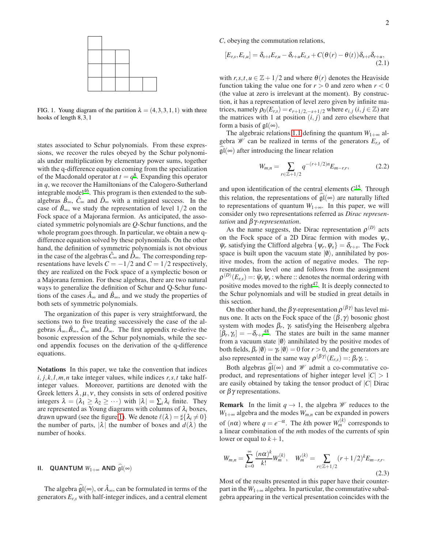

<span id="page-1-1"></span>FIG. 1. Young diagram of the partition  $\lambda = (4,3,3,1,1)$  with three hooks of length 8,3,1

states associated to Schur polynomials. From these expressions, we recover the rules obeyed by the Schur polynomials under multiplication by elementary power sums, together with the q-difference equation coming from the specialization of the Macdonald operator at  $t = q^8$  $t = q^8$ . Expanding this operator in *q*, we recover the Hamiltonians of the Calogero-Sutherland integrable model $46$ . This program is then extended to the subalgebras  $\hat{B}_{\infty}$ ,  $\hat{C}_{\infty}$  and  $\hat{D}_{\infty}$  with a mitigated success. In the case of  $\hat{B}_{\infty}$ , we study the representation of level 1/2 on the Fock space of a Majorana fermion. As anticipated, the associated symmetric polynomials are *Q*-Schur functions, and the whole program goes through. In particular, we obtain a new qdifference equation solved by these polynomials. On the other hand, the definition of symmetric polynomials is not obvious in the case of the algebras  $\hat{C}$ ∞ and  $\hat{D}$ ∞. The corresponding representations have levels  $C = -1/2$  and  $C = 1/2$  respectively, they are realized on the Fock space of a symplectic boson or a Majorana fermion. For these algebras, there are two natural ways to generalize the definition of Schur and Q-Schur functions of the cases  $\hat{A}_{\infty}$  and  $\hat{B}_{\infty}$ , and we study the properties of both sets of symmetric polynomials.

The organization of this paper is very straightforward, the sections two to five treating successively the case of the algebras  $\hat{A}_{\infty}, \hat{B}_{\infty}, \hat{C}_{\infty}$  and  $\hat{D}_{\infty}$ . The first appendix re-derive the bosonic expression of the Schur polynomials, while the second appendix focuses on the derivation of the q-difference equations.

Notations In this paper, we take the convention that indices  $i, j, k, l, m, n$  take integer values, while indices  $r, s, t$  take halfinteger values. Moreover, partitions are denoted with the Greek letters  $\lambda, \mu, \nu$ , they consists in sets of ordered positive integers  $\lambda = (\lambda_1 \geq \lambda_2 \geq \cdots)$  with  $|\lambda| = \sum_i \lambda_i$  finite. They are represented as Young diagrams with columns of  $\lambda_i$  boxes, drawn upward (see the figure [1\)](#page-1-1). We denote  $\ell(\lambda) = \frac{1}{4} \{\lambda_i \neq 0\}$ the number of parts,  $|\lambda|$  the number of boxes and  $d(\lambda)$  the number of hooks.

# <span id="page-1-3"></span>**II.** QUANTUM  $W_{1+\infty}$  AND  $\widehat{\mathfrak{gl}}(\infty)$

The algebra  $\hat{\mathfrak{gl}}(\infty)$ , or  $\hat{A}_{\infty}$ , can be formulated in terms of the generators  $E_{r,s}$  with half-integer indices, and a central element

*C*, obeying the commutation relations,

<span id="page-1-2"></span>
$$
[E_{r,s}, E_{t,u}] = \delta_{s+t} E_{r,u} - \delta_{r+u} E_{t,s} + C(\theta(r) - \theta(t)) \delta_{s+t} \delta_{r+u},
$$
\n(2.1)

with  $r, s, t, u \in \mathbb{Z} + 1/2$  and where  $\theta(r)$  denotes the Heaviside function taking the value one for  $r > 0$  and zero when  $r < 0$ (the value at zero is irrelevant at the moment). By construction, it has a representation of level zero given by infinite matrices, namely  $\rho_0(E_{r,s}) = e_{r+1/2,-s+1/2}$  where  $e_{i,j}$  (*i*, *j* ∈ ℤ) are the matrices with 1 at position  $(i, j)$  and zero elsewhere that form a basis of  $\mathfrak{gl}(\infty)$ .

The algebraic relations [1.1](#page-0-1) defining the quantum  $W_{1+\infty}$  algebra  $\mathscr W$  can be realized in terms of the generators  $E_{rs}$  of  $\mathfrak{gl}(\infty)$  after introducing the linear relation

<span id="page-1-0"></span>
$$
W_{m,n} = \sum_{r \in \mathbb{Z}+1/2} q^{-(r+1/2)n} E_{m-r,r}, \tag{2.2}
$$

and upon identification of the central elements *C* [15](#page-21-14). Through this relation, the representations of  $\mathfrak{gl}(\infty)$  are naturally lifted to representations of quantum  $W_{1+\infty}$ . In this paper, we will consider only two representations referred as *Dirac representation* and β γ*-representation*.

As the name suggests, the Dirac representation  $\rho^{(D)}$  acts on the Fock space of a 2D Dirac fermion with modes  $\psi_r$ ,  $\bar{\psi}_r$  satisfying the Clifford algebra  $\{\psi_r, \bar{\psi}_s\} = \delta_{r+s}$ . The Fock space is built upon the vacuum state  $|0\rangle$ , annihilated by positive modes, from the action of negative modes. The representation has level one and follows from the assignment  $\rho^{(D)}(E_{r,s}) =: \bar{\psi}_r \psi_s$  : where :: denotes the normal ordering with positive modes moved to the right $47$ . It is deeply connected to the Schur polynomials and will be studied in great details in this section.

On the other hand, the  $\beta \gamma$ -representation  $\rho^{(\beta \gamma)}$  has level minus one. It acts on the Fock space of the  $(\beta, \gamma)$  bosonic ghost system with modes  $\beta_r$ ,  $\gamma_r$  satisfying the Heisenberg algebra  $[\beta_r, \gamma_s] = -\delta_{r+s}^{48}$  $[\beta_r, \gamma_s] = -\delta_{r+s}^{48}$  $[\beta_r, \gamma_s] = -\delta_{r+s}^{48}$ . The states are built in the same manner from a vacuum state  $|0\rangle$  annihilated by the positive modes of both fields,  $\beta_r |\emptyset\rangle = \gamma_r |\emptyset\rangle = 0$  for  $r > 0$ , and the generators are also represented in the same way  $\rho^{(\beta \gamma)}(E_{r,s}) = \rho_r \gamma_s$ :

Both algebras  $\widehat{\mathfrak{gl}}(\infty)$  and W admit a co-commutative coproduct, and representations of higher integer level  $|C| > 1$ are easily obtained by taking the tensor product of |*C*| Dirac or  $βγ$  representations.

**Remark** In the limit  $q \rightarrow 1$ , the algebra *W* reduces to the  $W_{1+\infty}$  algebra and the modes  $W_{m,n}$  can be expanded in powers of  $(n\alpha)$  where  $q = e^{-\alpha}$ . The *k*th power  $W_m^{(k)}$  corresponds to a linear combination of the *m*th modes of the currents of spin lower or equal to  $k+1$ ,

$$
W_{m,n} = \sum_{k=0}^{\infty} \frac{(n\alpha)^k}{k!} W_m^{(k)}, \quad W_m^{(k)} = \sum_{r \in \mathbb{Z}+1/2} (r+1/2)^k E_{m-r,r}.
$$
\n(2.3)

Most of the results presented in this paper have their counterpart in the  $W_{1+\infty}$  algebra. In particular, the commutative subalgebra appearing in the vertical presentation coincides with the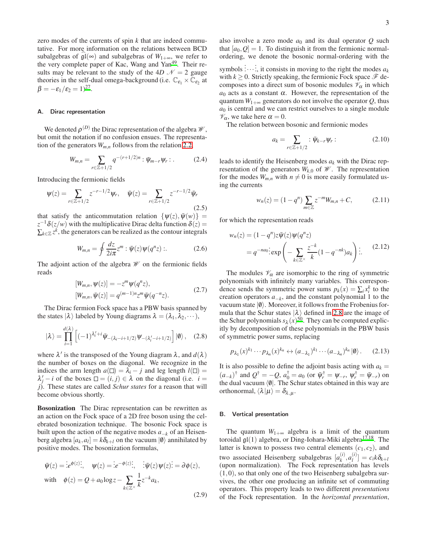zero modes of the currents of spin *k* that are indeed commutative. For more information on the relations between BCD subalgebras of  $\mathfrak{gl}(\infty)$  and subalgebras of  $W_{1+\infty}$ , we refer to the very complete paper of Kac, Wang and Yan<sup>[49](#page-21-37)</sup>. Their results may be relevant to the study of the 4*D*  $\mathcal{N} = 2$  gauge theories in the self-dual omega-background (i.e.  $\mathbb{C}_{\epsilon_1} \times \mathbb{C}_{\epsilon_2}$  at  $\beta = -\varepsilon_1/\varepsilon_2 = 1)^{27}.$  $\beta = -\varepsilon_1/\varepsilon_2 = 1)^{27}.$  $\beta = -\varepsilon_1/\varepsilon_2 = 1)^{27}.$ 

#### A. Dirac representation

We denoted  $\rho^{(D)}$  the Dirac representation of the algebra  $\mathscr{W},$ but omit the notation if no confusion ensues. The representation of the generators *Wm*,*<sup>n</sup>* follows from the relation [2.2,](#page-1-0)

<span id="page-2-2"></span>
$$
W_{m,n} = \sum_{r \in \mathbb{Z}+1/2} q^{-(r+1/2)n} : \bar{\psi}_{m-r} \psi_r : . \tag{2.4}
$$

Introducing the fermionic fields

$$
\psi(z) = \sum_{r \in \mathbb{Z} + 1/2} z^{-r - 1/2} \psi_r, \quad \bar{\psi}(z) = \sum_{r \in \mathbb{Z} + 1/2} z^{-r - 1/2} \bar{\psi}_r
$$
\n(2.5)

that satisfy the anticommutation relation  $\{\psi(z), \bar{\psi}(w)\}$  =  $z^{-1}\delta(z/w)$  with the multiplicative Dirac delta function  $\delta(z)$  =  $\sum_{k \in \mathbb{Z}} z^k$ , the generators can be realized as the contour integrals

<span id="page-2-3"></span>
$$
W_{m,n} = \oint \frac{dz}{2i\pi} z^m : \bar{\psi}(z)\psi(q^n z) :.
$$
 (2.6)

The adjoint action of the algebra  $\mathcal W$  on the fermionic fields reads

$$
[W_{m,n}, \psi(z)] = -z^m \psi(q^n z),
$$
  
\n
$$
[W_{m,n}, \bar{\psi}(z)] = q^{(m-1)n} z^m \bar{\psi}(q^{-n} z).
$$
\n(2.7)

The Dirac fermion Fock space has a PBW basis spanned by the states  $|\lambda\rangle$  labeled by Young diagrams  $\lambda = (\lambda_1, \lambda_2, \dots),$ 

<span id="page-2-0"></span>
$$
|\lambda\rangle = \prod_{i=1}^{d(\lambda)} \left[ (-1)^{\lambda'_i + i} \bar{\Psi}_{-(\lambda_i - i + 1/2)} \Psi_{-(\lambda'_i - i + 1/2)} \right] |0\rangle, \quad (2.8)
$$

where  $\lambda'$  is the transposed of the Young diagram  $\lambda$ , and  $d(\lambda)$ the number of boxes on the diagonal. We recognize in the indices the arm length  $a(\square) = \lambda_i - j$  and leg length  $l(\square) =$  $\lambda'_j - i$  of the boxes  $\square = (i, j) \in \lambda$  on the diagonal (i.e. *i* = *j*). These states are called *Schur states* for a reason that will become obvious shortly.

Bosonization The Dirac representation can be rewritten as an action on the Fock space of a 2D free boson using the celebrated bosonization technique. The bosonic Fock space is built upon the action of the negative modes *a*−*<sup>k</sup>* of an Heisenberg algebra  $[a_k, a_l] = k \delta_{k+l}$  on the vacuum  $|0\rangle$  annihilated by positive modes. The bosonization formulas,

$$
\overline{\Psi}(z) = \overline{\psi}^{\phi(z)}; \quad \psi(z) = \overline{\psi}^{\phi(z)}; \quad \overline{\psi}(z)\psi(z) = \partial\phi(z),
$$
\n
$$
\text{with} \quad \phi(z) = Q + a_0 \log z - \sum_{k \in \mathbb{Z}^\times} \frac{1}{k} z^{-k} a_k,
$$
\n
$$
(2.9)
$$

also involve a zero mode  $a_0$  and its dual operator  $Q$  such that  $[a_0, Q] = 1$ . To distinguish it from the fermionic normalordering, we denote the bosonic normal-ordering with the

symbols .<br>:...<br>.  $\therefore$ , it consists in moving to the right the modes  $a_k$ with  $k \geq 0$ . Strictly speaking, the fermionic Fock space  $\mathcal{F}$  decomposes into a direct sum of bosonic modules  $\mathcal{V}_{\alpha}$  in which  $a_0$  acts as a constant  $\alpha$ . However, the representation of the quantum  $W_{1+\infty}$  generators do not involve the operator Q, thus *a*<sup>0</sup> is central and we can restrict ourselves to a single module  $\mathcal{V}_{\alpha}$ , we take here  $\alpha = 0$ .

The relation between bosonic and fermionic modes

$$
a_k = \sum_{r \in \mathbb{Z}+1/2} : \bar{\psi}_{k-r} \psi_r : \tag{2.10}
$$

leads to identify the Heisenberg modes *a<sup>k</sup>* with the Dirac representation of the generators  $W_{k,0}$  of  $\mathcal W$ . The representation for the modes  $W_{m,n}$  with  $n \neq 0$  is more easily formulated using the currents

<span id="page-2-4"></span><span id="page-2-1"></span>
$$
w_n(z) = (1 - q^n) \sum_{m \in \mathbb{Z}} z^{-m} W_{m,n} + C,
$$
 (2.11)

for which the representation reads

$$
w_n(z) = (1 - q^n)z\overline{\Psi}(z)\Psi(q^n z)
$$
  
=  $q^{-na_0}$ : exp $\left(-\sum_{k \in \mathbb{Z}^\times} \frac{z^{-k}}{k} (1 - q^{-nk}) a_k\right)$  :: (2.12)

The modules  $\mathcal{V}_{\alpha}$  are isomorphic to the ring of symmetric polynomials with infinitely many variables. This correspondence sends the symmetric power sums  $p_k(x) = \sum_i x_i^k$  to the creation operators  $a_{-k}$ , and the constant polynomial 1 to the vacuum state  $|0\rangle$ . Moreover, it follows from the Frobenius formula that the Schur states  $|\lambda\rangle$  defined in [2.8](#page-2-0) are the image of the Schur polynomials  $s_{\lambda}(x)^{50}$  $s_{\lambda}(x)^{50}$  $s_{\lambda}(x)^{50}$ . They can be computed explicitly by decomposition of these polynomials in the PBW basis of symmetric power sums, replacing

$$
p_{\lambda_1}(x)^{k_1}\cdots p_{\lambda_n}(x)^{k_n} \leftrightarrow (a_{-\lambda_1})^{k_1}\cdots (a_{-\lambda_n})^{k_n}|\emptyset\rangle. \qquad (2.13)
$$

It is also possible to define the adjoint basis acting with  $a_k =$  $(a_{-k})^{\dagger}$  and  $Q^{\dagger} = -Q$ ,  $a_0^{\dagger} = a_0$  (or  $\bar{\psi}_r^{\dagger} = \psi_{-r}$ ,  $\psi_r^{\dagger} = \bar{\psi}_{-r}$ ) on the dual vacuum  $\langle \emptyset |$ . The Schur states obtained in this way are orthonormal,  $\langle \lambda | \mu \rangle = \delta_{\lambda,\mu}$ .

#### B. Vertical presentation

The quantum  $W_{1+\infty}$  algebra is a limit of the quantum toroidal  $\mathfrak{gl}(1)$  algebra, or Ding-Iohara-Miki algebra<sup>[17](#page-21-16)[,18](#page-21-17)</sup>. The latter is known to possess two central elements  $(c_1, c_2)$ , and two associated Heisenberg subalgebras  $[a_k^{(i)}]$  $_{k}^{(i)}, a_{l}^{(i)}$  $\left[\begin{array}{c} i' \\ l \end{array}\right] = c_i k \delta_{k+l}$ (upon normalization). The Fock representation has levels  $(1,0)$ , so that only one of the two Heisenberg subalgebra survives, the other one producing an infinite set of commuting operators. This property leads to two different *presentations* of the Fock representation. In the *horizontal presentation*,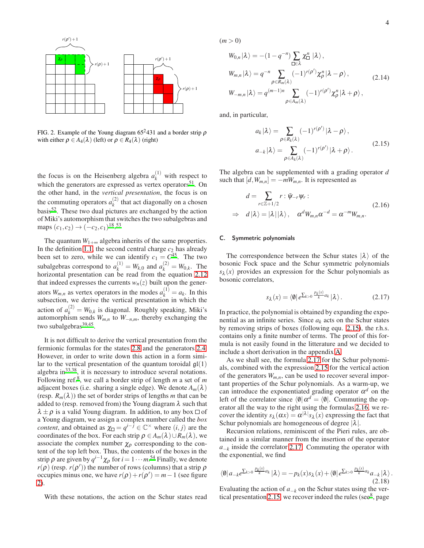

<span id="page-3-0"></span>FIG. 2. Example of the Young diagram  $65^2 431$  and a border strip  $\rho$ with either  $\rho \in A_4(\lambda)$  (left) or  $\rho \in R_4(\lambda)$  (right)

the focus is on the Heisenberg algebra  $a_k^{(1)}$  with respect to which the generators are expressed as vertex operators $51$ . On the other hand, in the *vertical presentation*, the focus is on the commuting operators  $a_k^{(2)}$  $\binom{2}{k}$  that act diagonally on a chosen basis[52](#page-21-41). These two dual pictures are exchanged by the action of Miki's automorphism that switches the two subalgebras and maps  $(c_1, c_2) \rightarrow (-c_2, c_1)^{18}$  $(c_1, c_2) \rightarrow (-c_2, c_1)^{18}$  $(c_1, c_2) \rightarrow (-c_2, c_1)^{18}$ .<sup>[53](#page-21-42)</sup>

The quantum  $W_{1+\infty}$  algebra inherits of the same properties. In the definition [1.1,](#page-0-1) the second central charge  $c_2$  has already been set to zero, while we can identify  $c_1 = C^{45}$  $c_1 = C^{45}$  $c_1 = C^{45}$ . The two subalgebras correspond to  $a_k^{(1)} = W_{k,0}$  and  $a_k^{(2)} = W_{0,k}$ . The horizontal presentation can be read from the equation [2.12](#page-2-1) that indeed expresses the currents  $w_n(z)$  built upon the generators  $W_{m,n}$  as vertex operators in the modes  $a_k^{(1)} = a_k$ . In this subsection, we derive the vertical presentation in which the action of  $a_k^{(2)} = W_{0,k}$  is diagonal. Roughly speaking, Miki's automorphism sends  $W_{m,n}$  to  $W_{-n,m}$ , thereby exchanging the two subalgebras<sup>[39](#page-21-28)[,45](#page-21-33)</sup>.

It is not difficult to derive the vertical presentation from the fermionic formulas for the states [2.8](#page-2-0) and the generators [2.4.](#page-2-2) However, in order to write down this action in a form similar to the vertical presentation of the quantum toroidal  $\mathfrak{gl}(1)$ algebra in $^{33,38}$  $^{33,38}$  $^{33,38}$  $^{33,38}$ , it is necessary to introduce several notations. Following ref.[8](#page-21-7) , we call a border strip of length *m* a set of *m* adjacent boxes (i.e. sharing a single edge). We denote  $A_m(\lambda)$ (resp.  $R_m(\lambda)$ ) the set of border strips of lengths *m* that can be added to (resp. removed from) the Young diagram  $\lambda$  such that  $\lambda \pm \rho$  is a valid Young diagram. In addition, to any box  $\Box$  of a Young diagram, we assign a complex number called the *box content*, and obtained as  $\chi_{\Box} = q^{i-j} \in \mathbb{C}^{\times}$  where  $(i, j)$  are the coordinates of the box. For each strip  $\rho \in A_m(\lambda) \cup R_m(\lambda)$ , we associate the complex number  $\chi_{\rho}$  corresponding to the content of the top left box. Thus, the contents of the boxes in the strip  $\rho$  are given by  $q^{i-1}\chi_{\rho}$  for  $i = 1 \cdots m^{54}$  $i = 1 \cdots m^{54}$  $i = 1 \cdots m^{54}$  Finally, we denote  $r(\rho)$  (resp.  $r(\rho')$ ) the number of rows (columns) that a strip  $\rho$ occupies minus one, we have  $r(\rho) + r(\rho') = m - 1$  (see figure [2\)](#page-3-0).

With these notations, the action on the Schur states read

 $(m > 0)$ 

$$
W_{0,n}|\lambda\rangle = -(1 - q^{-n}) \sum_{\square \in \lambda} \chi_{\square}^{n} |\lambda\rangle,
$$
  
\n
$$
W_{m,n}|\lambda\rangle = q^{-n} \sum_{\rho \in R_m(\lambda)} (-1)^{r(\rho')} \chi_{\rho}^{n} |\lambda - \rho\rangle,
$$
  
\n
$$
W_{-m,n}|\lambda\rangle = q^{(m-1)n} \sum_{\rho \in A_m(\lambda)} (-1)^{r(\rho')} \chi_{\rho}^{n} |\lambda + \rho\rangle,
$$
\n(2.14)

and, in particular,

<span id="page-3-4"></span><span id="page-3-1"></span>
$$
a_k|\lambda\rangle = \sum_{\rho \in R_k(\lambda)} (-1)^{r(\rho')} |\lambda - \rho\rangle,
$$
  
\n
$$
a_{-k}|\lambda\rangle = \sum_{\rho \in A_k(\lambda)} (-1)^{r(\rho')} |\lambda + \rho\rangle.
$$
 (2.15)

The algebra can be supplemented with a grading operator *d* such that  $[d, W_{m,n}] = -mW_{m,n}$ . It is represented as

<span id="page-3-3"></span>
$$
d = \sum_{r \in \mathbb{Z}+1/2} r : \bar{\psi}_{-r} \psi_r : \n\Rightarrow d|\lambda\rangle = |\lambda||\lambda\rangle, \quad \alpha^d W_{m,n} \alpha^{-d} = \alpha^{-m} W_{m,n}.
$$
\n(2.16)

#### C. Symmetric polynomials

The correspondence between the Schur states  $|\lambda\rangle$  of the bosonic Fock space and the Schur symmetric polynomials  $s_{\lambda}(x)$  provides an expression for the Schur polynomials as bosonic correlators,

<span id="page-3-2"></span>
$$
s_{\lambda}(x) = \langle \emptyset | e^{\sum_{k>0} \frac{p_k(x)}{k} a_k} | \lambda \rangle. \tag{2.17}
$$

In practice, the polynomial is obtained by expanding the exponential as an infinite series. Since  $a_k$  acts on the Schur states by removing strips of boxes (following equ. [2.15\)](#page-3-1), the r.h.s. contains only a finite number of terms. The proof of this formula is not easily found in the litterature and we decided to include a short derivation in the appendix [A.](#page-17-0)

As we shall see, the formula [2.17](#page-3-2) for the Schur polynomials, combined with the expression [2.15](#page-3-1) for the vertical action of the generators  $W_{m,n}$ , can be used to recover several important properties of the Schur polynomials. As a warm-up, we can introduce the exponentiated grading operator  $\alpha^d$  on the left of the correlator since  $\langle \emptyset | \alpha^d = \langle \emptyset |$ . Commuting the operator all the way to the right using the formulas [2.16,](#page-3-3) we recover the identity  $s_\lambda(\alpha x) = \alpha^{|\lambda|} s_\lambda(x)$  expressing the fact that Schur polynomials are homogeneous of degree  $|\lambda|$ .

Recursion relations, reminiscent of the Pieri rules, are obtained in a similar manner from the insertion of the operator  $a_{-k}$  inside the correlator [2.17.](#page-3-2) Commuting the operator with the exponential, we find

$$
\langle \emptyset | a_{-k} e^{\sum_{k>0} \frac{p_k(x)}{k} a_k} | \lambda \rangle = -p_k(x) s_\lambda(x) + \langle \emptyset | e^{\sum_{k>0} \frac{p_k(x)}{k} a_k} a_{-k} | \lambda \rangle.
$$
\n(2.18)

Evaluating the action of  $a_{-k}$  on the Schur states using the ver-tical presentation [2.15,](#page-3-1) we recover indeed the rules (see $8$ , page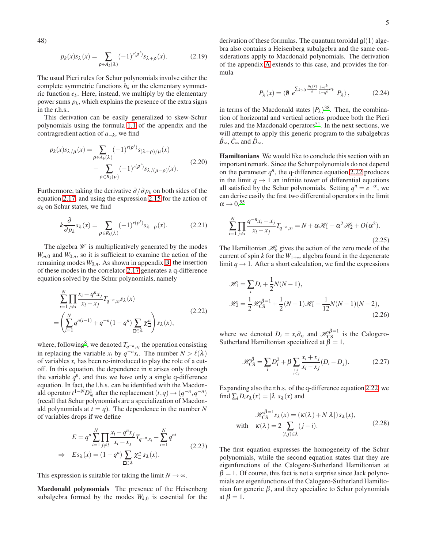48)

$$
p_k(x)s_{\lambda}(x) = \sum_{\rho \in A_k(\lambda)} (-1)^{r(\rho')} s_{\lambda + \rho}(x).
$$
 (2.19)

The usual Pieri rules for Schur polynomials involve either the complete symmetric functions  $h_k$  or the elementary symmetric function *e<sup>k</sup>* . Here, instead, we multiply by the elementary power sums *p<sup>k</sup>* , which explains the presence of the extra signs in the r.h.s..

This derivation can be easily generalized to skew-Schur polynomials using the formula [1.1](#page-17-1) of the appendix and the contragredient action of *a*−*<sup>k</sup>* , we find

$$
p_k(x)s_{\lambda/\mu}(x) = \sum_{\rho \in A_k(\lambda)} (-1)^{r(\rho')} s_{(\lambda+\rho)/\mu}(x)
$$

$$
- \sum_{\rho \in R_k(\mu)} (-1)^{r(\rho')} s_{\lambda/(\mu-\rho)}(x).
$$
(2.20)

Furthermore, taking the derivative <sup>∂</sup>/<sup>∂</sup> *p<sup>k</sup>* on both sides of the equation [2.17,](#page-3-2) and using the expression [2.15](#page-3-1) for the action of *a<sup>k</sup>* on Schur states, we find

$$
k\frac{\partial}{\partial p_k}s_\lambda(x) = \sum_{\rho \in R_k(\lambda)} (-1)^{r(\rho')}s_{\lambda-\rho}(x). \tag{2.21}
$$

The algebra  $W$  is multiplicatively generated by the modes  $W_{m,0}$  and  $W_{0,n}$ , so it is sufficient to examine the action of the remaining modes  $W_{0,n}$ . As shown in appendix **B**, the insertion of these modes in the correlator [2.17](#page-3-2) generates a q-difference equation solved by the Schur polynomials, namely

$$
\sum_{i=1}^{N} \prod_{j \neq i} \frac{x_i - q^n x_j}{x_i - x_j} T_{q^{-n}, x_i} s_\lambda(x)
$$
\n
$$
= \left( \sum_{i=1}^{N} q^{n(i-1)} + q^{-n} (1 - q^n) \sum_{\square \in \lambda} \chi_\square^n \right) s_\lambda(x),
$$
\n(2.22)

where, following<sup>[8](#page-21-7)</sup>, we denoted  $T_{q^{-n},x_i}$  the operation consisting in replacing the variable  $x_i$  by  $q^{-n}x_i$ . The number  $N > \ell(\lambda)$ of variables *x<sup>i</sup>* has been re-introduced to play the role of a cutoff. In this equation, the dependence in *n* arises only through the variable  $q^n$ , and thus we have only a single q-difference equation. In fact, the l.h.s. can be identified with the Macdonald operator  $t^{1-N}D_N^1$  after the replacement  $(t,q) \rightarrow (q^{-n}, q^{-n})$ (recall that Schur polynomials are a specialization of Macdonald polynomials at  $t = q$ ). The dependence in the number N of variables drops if we define

$$
E = q^{n} \sum_{i=1}^{N} \prod_{j \neq i} \frac{x_{i} - q^{n} x_{j}}{x_{i} - x_{j}} T_{q^{-n} x_{i}} - \sum_{i=1}^{N} q^{ni}
$$
  
\n
$$
\Rightarrow E s_{\lambda}(x) = (1 - q^{n}) \sum_{\square \in \lambda} \chi_{\square}^{n} s_{\lambda}(x).
$$
 (2.23)

This expression is suitable for taking the limit  $N \to \infty$ .

Macdonald polynomials The presence of the Heisenberg subalgebra formed by the modes  $W_{k,0}$  is essential for the derivation of these formulas. The quantum toroidal  $\mathfrak{gl}(1)$  algebra also contains a Heisenberg subalgebra and the same considerations apply to Macdonald polynomials. The derivation of the appendix [A](#page-17-0) extends to this case, and provides the formula

$$
P_{\lambda}(x) = \langle \emptyset | e^{\sum_{k>0} \frac{P_k(x)}{k} \frac{1 - r^k}{1 - q^k} a_k} | P_{\lambda} \rangle, \qquad (2.24)
$$

in terms of the Macdonald states  $|P_\lambda\rangle^{38}$  $|P_\lambda\rangle^{38}$  $|P_\lambda\rangle^{38}$ . Then, the combination of horizontal and vertical actions produce both the Pieri rules and the Macdonald operators<sup>[51](#page-21-40)</sup>. In the next sections, we will attempt to apply this generic program to the subalgebras  $\hat{B}_{\infty}$ ,  $\hat{C}_{\infty}$  and  $\hat{D}_{\infty}$ .

Hamiltonians We would like to conclude this section with an important remark. Since the Schur polynomials do not depend on the parameter  $q^n$ , the q-difference equation [2.22](#page-4-0) produces in the limit  $q \rightarrow 1$  an infinite tower of differential equations all satisfied by the Schur polynomials. Setting  $q^n = e^{-\alpha}$ , we can derive easily the first two differential operators in the limit  $\alpha \rightarrow 0.55$  $\alpha \rightarrow 0.55$ 

$$
\sum_{i=1}^{N} \prod_{j \neq i} \frac{q^{-n} x_i - x_j}{x_i - x_j} T_{q^{-n} x_i} = N + \alpha \mathcal{H}_1 + \alpha^2 \mathcal{H}_2 + O(\alpha^2).
$$
\n(2.25)

The Hamiltonian  $\mathcal{H}_k$  gives the action of the zero mode of the current of spin *k* for the  $W_{1+\infty}$  algebra found in the degenerate limit  $q \rightarrow 1$ . After a short calculation, we find the expressions

$$
\mathcal{H}_1 = \sum_i D_i + \frac{1}{2} N(N-1),
$$
  

$$
\mathcal{H}_2 = \frac{1}{2} \mathcal{H}_{CS}^{\beta=1} + \frac{1}{2} (N-1) \mathcal{H}_1 - \frac{1}{12} N(N-1)(N-2),
$$
  
(2.26)

<span id="page-4-0"></span>where we denoted  $D_i = x_i \partial_{x_i}$  and  $\mathcal{H}_{\text{CS}}^{\beta=1}$  is the Calogero-Sutherland Hamiltonian specialized at  $\beta = 1$ ,

$$
\mathcal{H}_{\text{CS}}^{\beta} = \sum_{i} D_i^2 + \beta \sum_{i,j} \frac{x_i + x_j}{x_i - x_j} (D_i - D_j). \tag{2.27}
$$

Expanding also the r.h.s. of the q-difference equation [2.22,](#page-4-0) we find  $\sum_i D_i s_\lambda(x) = |\lambda| s_\lambda(x)$  and

$$
\mathcal{H}_{CS}^{\beta=1} s_{\lambda}(x) = (\kappa(\lambda) + N|\lambda|) s_{\lambda}(x),
$$
  
with  $\kappa(\lambda) = 2 \sum_{(i,j) \in \lambda} (j - i).$  (2.28)

The first equation expresses the homogeneity of the Schur polynomials, while the second equation states that they are eigenfunctions of the Calogero-Sutherland Hamiltonian at  $\beta = 1$ . Of course, this fact is not a surprise since Jack polynomials are eigenfunctions of the Calogero-Sutherland Hamiltonian for generic  $β$ , and they specialize to Schur polynomials at  $\beta = 1$ .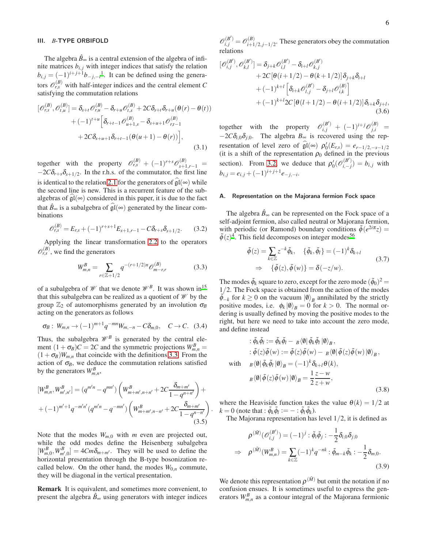# III. *B*-TYPE ORBIFOLD

The algebra  $\hat{B}_{\infty}$  is a central extension of the algebra of infinite matrices  $b_{i,j}$  with integer indices that satisfy the relation  $b_{i,j} = (-1)^{i+j+1} b_{-j,-i}$  $b_{i,j} = (-1)^{i+j+1} b_{-j,-i}$  $b_{i,j} = (-1)^{i+j+1} b_{-j,-i}$ <sup>1</sup>. It can be defined using the generators  $\mathcal{O}_{r,s}^{(B)}$  with half-integer indices and the central element *C* satisfying the commutation relations

$$
\begin{split} [\mathscr{O}_{r,s}^{(B)}, \mathscr{O}_{t,u}^{(B)}] &= \delta_{s+t} \mathscr{O}_{r,u}^{(B)} - \delta_{r+u} \mathscr{O}_{r,s}^{(B)} + 2C \delta_{s+t} \delta_{r+u} (\theta(r) - \theta(t)) \\ &+ (-1)^{t+u} \Big[ \delta_{r+t-1} \mathscr{O}_{u+1,s}^{(B)} - \delta_{s+u+1} \mathscr{O}_{r,t-1}^{(B)} \\ &+ 2C \delta_{s+u+1} \delta_{r+t-1} (\theta(u+1) - \theta(r)) \Big], \end{split} \tag{3.1}
$$

together with the property  $\mathcal{O}_{r,s}^{(B)} + (-1)^{r+s} \mathcal{O}_{s+1,r-1}^{(B)} =$  $-2C\delta_{r+s}\delta_{s+1/2}$ . In the r.h.s. of the commutator, the first line is identical to the relation [2.1](#page-1-2) for the generators of  $\hat{\mathfrak{gl}}(\infty)$  while the second line is new. This is a recurrent feature of the subalgebras of  $\mathfrak{gl}(\infty)$  considered in this paper, it is due to the fact that  $\hat{B}_{\infty}$  is a subalgebra of  $\hat{\mathfrak{gl}}(\infty)$  generated by the linear combinations

<span id="page-5-1"></span>
$$
\mathscr{O}_{r,s}^{(B)} = E_{r,s} + (-1)^{r+s+1} E_{s+1,r-1} - C \delta_{r+s} \delta_{s+1/2}.
$$
 (3.2)

Applying the linear transformation [2.2](#page-1-0) to the operators  $\mathcal{O}_{r,s}^{(B)}$ , we find the generators

<span id="page-5-0"></span>
$$
W_{m,n}^B = \sum_{r \in \mathbb{Z}+1/2} q^{-(r+1/2)n} \mathcal{O}_{m-r,r}^{(B)} \tag{3.3}
$$

of a subalgebra of  $\mathcal W$  that we denote  $\mathcal W^B$ . It was shown in<sup>[15](#page-21-14)</sup> that this subalgebra can be realized as a quotient of  $\mathcal W$  by the group  $\mathbb{Z}_2$  of automorphisms generated by an involution  $\sigma_B$ acting on the generators as follows

<span id="page-5-2"></span>
$$
\sigma_B: W_{m,n} \to (-1)^{m+1} q^{-mn} W_{m,-n} - C \delta_{m,0}, \quad C \to C. \quad (3.4)
$$

Thus, the subalgebra  $\mathcal{W}^B$  is generated by the central element  $(1 + \sigma_B)C = 2C$  and the symmetric projections  $W_{m,n}^B$  =  $(1+\sigma_B)W_{m,n}$  that coincide with the definitions [3.3.](#page-5-0) From the action of  $\sigma_B$ , we deduce the commutation relations satisfied by the generators  $W_{m,n}^B$ ,

$$
[W_{m,n}^{B}, W_{m',n'}^{B}] = (q^{m'n} - q^{mn'}) \left( W_{m+m',n+n'}^{B} + 2C \frac{\delta_{m+m'}}{1 - q^{n+n'}} \right) +
$$
  
+  $(-1)^{m'+1} q^{-m'n'} (q^{m'n} - q^{-mn'}) \left( W_{m+m',n-n'}^{B} + 2C \frac{\delta_{m+m'}}{1 - q^{n-n'}} \right)$   
(3.5)

Note that the modes  $W_{m,0}$  with  $m$  even are projected out, while the odd modes define the Heisenberg subalgebra  $[W_{m,0}^B, W_{m',0}^B] = 4Cm\delta_{m+m'}$ . They will be used to define the horizontal presentation through the B-type bosonization recalled below. On the other hand, the modes  $W_{0,n}$  commute, they will be diagonal in the vertical presentation.

Remark It is equivalent, and sometimes more convenient, to present the algebra  $\hat{B}_{\infty}$  using generators with integer indices

 $\mathscr{O}_{i,j}^{(B')} = \mathscr{O}_{i+1}^{(B)}$  $\sum_{i=1/2, j=1/2}^{(D)}$ . These generators obey the commutation relations

$$
\begin{split} [\mathscr{O}_{i,j}^{(B')}, \mathscr{O}_{k,l}^{(B')}] &= \delta_{j+k} \mathscr{O}_{i,l}^{(B')} - \delta_{i+l} \mathscr{O}_{k,j}^{(B')} \\ &+ 2C \left[ \theta \left( i + 1/2 \right) - \theta \left( k + 1/2 \right) \right] \delta_{j+k} \delta_{i+l} \\ &+ (-1)^{k+l} \left[ \delta_{i+k} \mathscr{O}_{l,j}^{(B')} - \delta_{j+l} \mathscr{O}_{i,k}^{(B)} \right] \\ &+ (-1)^{k+l} 2C \left[ \theta \left( l + 1/2 \right) - \theta \left( i + 1/2 \right) \right] \delta_{i+k} \delta_{j+l}, \end{split} \tag{3.6}
$$

together with the property  $\mathcal{O}_{i,j}^{(B')}$  +  $(-1)^{i+j}\mathcal{O}_{j,i}^{(B')}$  =  $-2C\delta_{i,0}\delta_{j,0}$ . The algebra  $B_{\infty}$  is recovered using the representation of level zero of  $\mathfrak{gl}(\infty)$   $\rho_0'(E_{r,s}) = e_{r-1/2,-s-1/2}$ (it is a shift of the representation  $\rho_0$  defined in the previous section). From [3.2,](#page-5-1) we deduce that  $\rho'_0(\mathcal{O}_{i,-j}^{(B)})$  $\binom{a}{i-j} = b_{i,j}$  with  $b_{i,j} = e_{i,j} + (-1)^{i+j+1} e_{-j,-i}.$ 

#### A. Representation on the Majorana fermion Fock space

The algebra  $\hat{B}_{\infty}$  can be represented on the Fock space of a self-adjoint fermion, also called neutral or Majorana fermion, with periodic (or Ramond) boundary conditions  $\tilde{\phi}(e^{2i\pi}z)$  =  $\tilde{\phi}(z)^4$  $\tilde{\phi}(z)^4$ . This field decomposes on integer modes<sup>[56](#page-22-2)</sup>

$$
\begin{aligned}\n\tilde{\phi}(z) &= \sum_{k \in \mathbb{Z}} z^{-k} \tilde{\phi}_k, \quad \{\tilde{\phi}_k, \tilde{\phi}_l\} = (-1)^k \delta_{k+l} \\
&\Rightarrow \quad \{\tilde{\phi}(z), \tilde{\phi}(w)\} &= \delta(-z/w).\n\end{aligned} \tag{3.7}
$$

The modes  $\tilde{\phi}_k$  square to zero, except for the zero mode  $(\tilde{\phi}_0)^2$  = 1/2. The Fock space is obtained from the action of the modes  $\tilde{\phi}_{-k}$  for  $k \ge 0$  on the vacuum  $|\phi\rangle_B$  annihilated by the strictly positive modes, i.e.  $\phi_k |0\rangle_B = 0$  for  $k > 0$ . The normal ordering is usually defined by moving the positive modes to the right, but here we need to take into account the zero mode, and define instead

$$
\begin{aligned}\n\therefore \tilde{\phi}_k \tilde{\phi}_l &:= \tilde{\phi}_k \tilde{\phi}_l - \frac{1}{B} \langle \emptyset | \tilde{\phi}_k \tilde{\phi}_l | \emptyset \rangle_B, \\
&\colon \tilde{\phi}(z) \tilde{\phi}(w) &:= \tilde{\phi}(z) \tilde{\phi}(w) - \frac{1}{B} \langle \emptyset | \tilde{\phi}(z) \tilde{\phi}(w) | \emptyset \rangle_B, \\
&\text{with} \quad \frac{1}{B} \langle \emptyset | \tilde{\phi}_k \tilde{\phi}_l | \emptyset \rangle_B = (-1)^k \delta_{k+l} \theta(k), \\
&\quad \frac{1}{B} \langle \emptyset | \tilde{\phi}(z) \tilde{\phi}(w) | \emptyset \rangle_B = \frac{1}{2} \frac{z - w}{z + w},\n\end{aligned} \tag{3.8}
$$

 $k = 0$  (note that :  $\tilde{\phi}_k \tilde{\phi}_l := - : \tilde{\phi}_l \tilde{\phi}_k$ ). where the Heaviside function takes the value  $\theta(k) = 1/2$  at

The Majorana representation has level  $1/2$ , it is defined as

<span id="page-5-3"></span>
$$
\rho^{(\tilde{M})}(\mathcal{O}_{i,j}^{(B')}) = (-1)^j : \tilde{\phi}_i \tilde{\phi}_j : -\frac{1}{2} \delta_{i,0} \delta_{j,0}
$$
  
\n
$$
\Rightarrow \rho^{(\tilde{M})}(W_{m,n}^B) = \sum_{k \in \mathbb{Z}} (-1)^k q^{-nk} : \tilde{\phi}_{m-k} \tilde{\phi}_k : -\frac{1}{2} \delta_{m,0}.
$$
  
\n(3.9)

We denote this representation  $\rho^{(\tilde{M})}$  but omit the notation if no confusion ensues. It is sometimes useful to express the generators  $W_{m,n}^B$  as a contour integral of the Majorana fermionic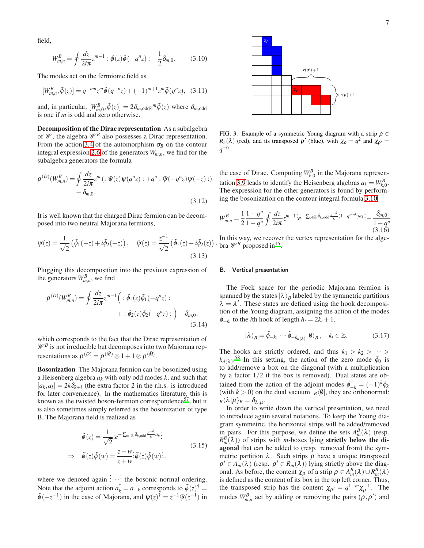.

field,

<span id="page-6-0"></span>
$$
W_{m,n}^{B} = \oint \frac{dz}{2i\pi} z^{m-1} : \tilde{\phi}(z)\tilde{\phi}(-q^{n}z) : -\frac{1}{2}\delta_{m,0}. \tag{3.10}
$$

The modes act on the fermionic field as

$$
[W_{m,n}^B, \tilde{\phi}(z)] = q^{-mn} z^m \tilde{\phi}(q^{-n}z) + (-1)^{m+1} z^m \tilde{\phi}(q^n z), \quad (3.11)
$$

and, in particular,  $[W_{m,0}^B, \tilde{\phi}(z)] = 2\delta_{m,odd}z^m\tilde{\phi}(z)$  where  $\delta_{m,odd}$ is one if *m* is odd and zero otherwise.

Decomposition of the Dirac representation As a subalgebra of  $\mathscr W$ , the algebra  $\mathscr W^B$  also possesses a Dirac representation. From the action [3.4](#page-5-2) of the automorphism  $\sigma_B$  on the contour integral expression [2.6](#page-2-3) of the generators  $W_{m,n}$ , we find for the subalgebra generators the formula

$$
\rho^{(D)}(W_{m,n}^B) = \oint \frac{dz}{2i\pi} z^m \left( : \bar{\psi}(z)\psi(q^n z) : +q^n : \bar{\psi}(-q^n z)\psi(-z) : \right)
$$

$$
- \delta_{m,0}.
$$
\n(3.12)

It is well known that the charged Dirac fermion can be decomposed into two neutral Majorana fermions,

$$
\Psi(z) = \frac{1}{\sqrt{2}} \left( \tilde{\phi}_1(-z) + i \tilde{\phi}_2(-z) \right), \quad \bar{\Psi}(z) = \frac{z^{-1}}{\sqrt{2}} \left( \tilde{\phi}_1(z) - i \tilde{\phi}_2(z) \right)
$$
\n(3.13)

Plugging this decomposition into the previous expression of the generators  $W_{m,n}^B$ , we find

$$
\rho^{(D)}(W_{m,n}^B) = \oint \frac{dz}{2i\pi} z^{m-1} \left( : \tilde{\phi}_1(z)\tilde{\phi}_1(-q^nz) : \right. \left. + : \tilde{\phi}_2(z)\tilde{\phi}_2(-q^nz) : \right) - \delta_{m,0},
$$
\n(3.14)

which corresponds to the fact that the Dirac representation of  $\mathcal{W}^B$  is not irreducible but decomposes into two Majorana representations as  $\rho^{(D)} = \rho^{(\tilde{M})} \otimes 1 + 1 \otimes \rho^{(\tilde{M})}$ .

Bosonization The Majorana fermion can be bosonized using a Heisenberg algebra *a<sup>k</sup>* with only odd modes *k*, and such that  $[a_k, a_l] = 2k\delta_{k+l}$  (the extra factor 2 in the r.h.s. is introduced for later convenience). In the mathematics literature, this is known as the twisted boson-fermion correspondence<sup>[57](#page-22-3)</sup>, but it is also sometimes simply referred as the bosonization of type B. The Majorana field is realized as

$$
\tilde{\phi}(z) = \frac{1}{\sqrt{2}} \dot{z} e^{-\sum k \in \mathbb{Z} \delta_{k, \text{odd}} \frac{z^{-k}}{k} a_k};
$$
\n
$$
\Rightarrow \quad \tilde{\phi}(z) \tilde{\phi}(w) = \frac{z - w}{z + w} \dot{\tilde{\phi}}(z) \tilde{\phi}(w) \dot{...},
$$
\n(3.15)

where we denoted again .<br>!… :<br>: the bosonic normal ordering. Note that the adjoint action  $a_k^{\dagger} = a_{-k}$  corresponds to  $\tilde{\phi}(z)^{\dagger} = \tilde{\phi}(z)$  $\tilde{\phi}(-z^{-1})$  in the case of Majorana, and  $\psi(z)^{\dagger} = z^{-1}\bar{\psi}(z^{-1})$  in



<span id="page-6-1"></span>FIG. 3. Example of a symmetric Young diagram with a strip  $\rho \in$  $R_5(\lambda)$  (red), and its transposed  $\rho'$  (blue), with  $\chi_{\rho} = q^2$  and  $\chi_{\rho'} =$  $q^{-6}.$ 

the case of Dirac. Computing  $W_{k,0}^B$  in the Majorana represen-tation [3.9](#page-5-3) leads to identify the Heisenberg algebras  $a_k = W_{k,0}^B$ . The expression for the other generators is found by performing the bosonization on the contour integral formula [3.10,](#page-6-0)

$$
W_{m,n}^{B} = \frac{1}{2} \frac{1+q^{n}}{1-q^{n}} \oint \frac{dz}{2i\pi} z^{m-1} e^{-\sum_{k \in \mathbb{Z}} \delta_{k,\text{odd}} \frac{z^{-k}}{k} (1-q^{-nk}) a_k} \cdot \frac{\delta_{m,0}}{1-q^{n}} \tag{3.16}
$$

)  $\cdot$  bra  $\mathcal{W}^B$  proposed in<sup>[15](#page-21-14)</sup>. In this way, we recover the vertex representation for the alge-

#### B. Vertical presentation

The Fock space for the periodic Majorana fermion is spanned by the states  $|\lambda\rangle_B$  labeled by the symmetric partitions  $\lambda = \lambda'$ . These states are defined using the hook decomposition of the Young diagram, assigning the action of the modes  $\tilde{\phi}_{-k_i}$  to the *i*th hook of length  $h_i = 2\tilde{k}_i + 1$ ,

$$
|\lambda\rangle_B = \tilde{\phi}_{-k_1} \cdots \tilde{\phi}_{-k_d(\lambda)} |0\rangle_B, \quad k_i \in \mathbb{Z}.
$$
 (3.17)

The hooks are strictly ordered, and thus  $k_1 > k_2 > \cdots >$  $k_{d(\lambda)}$ .<sup>[58](#page-22-4)</sup> In this setting, the action of the zero mode  $\tilde{\phi}_0$  is to add/remove a box on the diagonal (with a multiplication by a factor  $1/2$  if the box is removed). Dual states are obtained from the action of the adjoint modes  $\tilde{\phi}^{\dagger}_{-k} = (-1)^k \tilde{\phi}_k$ (with  $k > 0$ ) on the dual vacuum  $B(\emptyset)$ , they are orthonormal:  ${}_{B}\langle \lambda\, | \mu\rangle_{B} = \delta_{\lambda,\mu}.$ 

In order to write down the vertical presentation, we need to introduce again several notations. To keep the Young diagram symmetric, the horizontal strips will be added/removed in pairs. For this purpose, we define the sets  $A_m^B(\lambda)$  (resp.  $R_m^B(\lambda)$ ) of strips with *m*-boxes lying **strictly below the di**agonal that can be added to (resp. removed from) the symmetric partition  $\lambda$ . Such strips  $\rho$  have a unique transposed  $\rho' \in A_m(\lambda)$  (resp.  $\rho' \in R_m(\lambda)$ ) lying strictly above the diagonal. As before, the content  $\chi_{\rho}$  of a strip  $\rho \in A_m^B(\lambda) \cup R_m^B(\lambda)$ is defined as the content of its box in the top left corner. Thus, the transposed strip has the content  $\chi_{\rho'} = q^{1-m} \chi_{\rho}^{-1}$ . The modes  $W_{m,n}^B$  act by adding or removing the pairs  $(\rho, \rho')$  and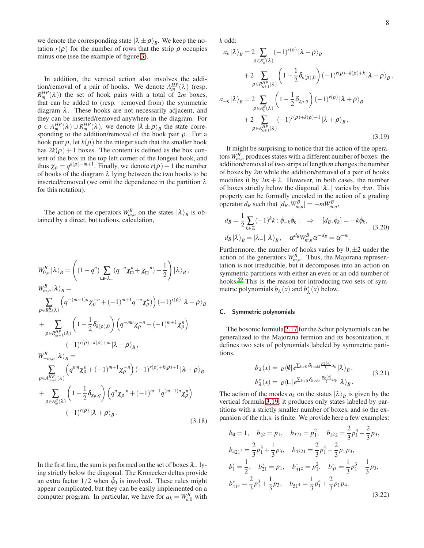we denote the corresponding state  $|\lambda \pm \rho\rangle_B$ . We keep the notation  $r(\rho)$  for the number of rows that the strip  $\rho$  occupies minus one (see the example of figure [3\)](#page-6-1).

In addition, the vertical action also involves the addition/removal of a pair of hooks. We denote  $A_m^{HP}(\lambda)$  (resp.  $R_m^{HP}(\lambda)$ ) the set of hook pairs with a total of 2*m* boxes, that can be added to (resp. removed from) the symmetric diagram  $\lambda$ . These hooks are not necessarily adjacent, and they can be inserted/removed anywhere in the diagram. For  $\rho \in A_m^{HP}(\lambda) \cup R_m^{HP}(\lambda)$ , we denote  $|\lambda \pm \rho\rangle_B$  the state corresponding to the addition/removal of the hook pair  $\rho$ . For a hook pair  $\rho$ , let  $k(\rho)$  be the integer such that the smaller hook has  $2k(\rho) + 1$  boxes. The content is defined as the box content of the box in the top left corner of the longest hook, and thus  $\chi_{\rho} = q^{k(\rho)-m+1}$ . Finally, we denote  $r(\rho)+1$  the number of hooks of the diagram  $\lambda$  lying between the two hooks to be inserted/removed (we omit the dependence in the partition  $\lambda$ for this notation).

The action of the operators  $W_{m,n}^B$  on the states  $|\lambda\rangle_B$  is obtained by a direct, but tedious, calculation,

$$
W_{0,n}^{B}|\lambda\rangle_{B} = \left((1-q^{n})\sum_{\square\in\lambda_{-}}(q^{-n}\chi_{\square}^{n} + \chi_{\square}^{-n}) - \frac{1}{2}\right)|\lambda\rangle_{B},
$$
  
\n
$$
W_{m,n}^{B}|\lambda\rangle_{B} = \sum_{\rho\in R_{m}^{B}(\lambda)}\left(q^{-(m-1)n}\chi_{\rho}^{-n} + (-1)^{m+1}q^{-n}\chi_{\rho}^{n}\right)(-1)^{r(\rho)}|\lambda-\rho\rangle_{B}
$$
  
\n
$$
+ \sum_{\rho\in R_{m+1}^{HP}(\lambda)}\left(1 - \frac{1}{2}\delta_{k(\rho),0}\right)\left(q^{-mn}\chi_{\rho}^{-n} + (-1)^{m+1}\chi_{\rho}^{n}\right)
$$
  
\n
$$
(-1)^{r(\rho)+k(\rho)+m}|\lambda-\rho\rangle_{B},
$$
  
\n
$$
W_{-m,n}^{B}|\lambda\rangle_{B} = \sum_{\rho\in A_{m+1}^{HP}(\lambda)}\left(q^{mn}\chi_{\rho}^{n} + (-1)^{m+1}\chi_{\rho}^{-n}\right)(-1)^{r(\rho)+k(\rho)+1}|\lambda+\rho\rangle_{B}
$$
  
\n
$$
+ \sum_{\rho\in A_{m}^{B}(\lambda)}\left(1 - \frac{1}{2}\delta_{\chi_{\rho},q}\right)\left(q^{n}\chi_{\rho}^{-n} + (-1)^{m+1}q^{(m-1)n}\chi_{\rho}^{n}\right)
$$
  
\n
$$
(-1)^{r(\rho)}|\lambda+\rho\rangle_{B}.
$$
  
\n(3.18)

In the first line, the sum is performed on the set of boxes  $\lambda$ - lying strictly below the diagonal. The Kronecker deltas provide an extra factor  $1/2$  when  $\tilde{\phi}_0$  is involved. These rules might appear complicated, but they can be easily implemented on a computer program. In particular, we have for  $a_k = W_{k,0}^B$  with

*k* odd:

$$
a_{k}|\lambda\rangle_{B} = 2 \sum_{\rho \in R_{k}^{B}(\lambda)} (-1)^{r(\rho)} |\lambda - \rho\rangle_{B}
$$
  
+2 
$$
\sum_{\rho \in R_{k+1}^{HP}(\lambda)} \left(1 - \frac{1}{2} \delta_{k(\rho),0}\right) (-1)^{r(\rho)+k(\rho)+k} |\lambda - \rho\rangle_{B},
$$
  

$$
a_{-k}|\lambda\rangle_{B} = 2 \sum_{\rho \in A_{k}^{B}(\lambda)} \left(1 - \frac{1}{2} \delta_{\chi_{\rho},q}\right) (-1)^{r(\rho)} |\lambda + \rho\rangle_{B}
$$
  
+2 
$$
\sum_{\rho \in A_{k+1}^{HP}(\lambda)} (-1)^{r(\rho)+k(\rho)+1} |\lambda + \rho\rangle_{B}.
$$
 (3.19)

<span id="page-7-0"></span>It might be surprising to notice that the action of the operators  $W_{m,n}^B$  produces states with a different number of boxes: the addition/removal of two strips of length *m* changes the number of boxes by 2*m* while the addition/removal of a pair of hooks modifies it by  $2m + 2$ . However, in both cases, the number of boxes strictly below the diagonal |λ−| varies by ±*m*. This property can be formally encoded in the action of a grading operator  $d_B$  such that  $[d_B, W_{m,n}^B] = -mW_{m,n}^B$ ,

$$
d_B = \frac{1}{2} \sum_{k \in \mathbb{Z}} (-1)^k k : \tilde{\phi}_{-k} \tilde{\phi}_k : \Rightarrow [d_B, \tilde{\phi}_k] = -k \tilde{\phi}_k,
$$
  
\n
$$
d_B |\lambda\rangle_B = |\lambda_-| |\lambda\rangle_B, \quad \alpha^{d_B} W^B_{m,n} \alpha^{-d_B} = \alpha^{-m}.
$$
\n(3.20)

Furthermore, the number of hooks varies by  $0, \pm 2$  under the action of the generators  $W_{m,n}^B$ . Thus, the Majorana representation is not irreducible, but it decomposes into an action on symmetric partitions with either an even or an odd number of hooks.[59](#page-22-5) This is the reason for introducing two sets of symmetric polynomials  $b_{\lambda}(x)$  and  $b_{\lambda}^{*}(x)$  below.

# C. Symmetric polynomials

The bosonic formula [2.17](#page-3-2) for the Schur polynomials can be generalized to the Majorana fermion and its bosonization, it defines two sets of polynomials labeled by symmetric partitions,

<span id="page-7-1"></span>
$$
b_{\lambda}(x) = B \langle \emptyset | e^{\sum_{k>0} \delta_{k,\text{odd}} \frac{p_k(x)}{k} a_k} | \lambda \rangle_B,
$$
  
\n
$$
b_{\lambda}^*(x) = B \langle \square | e^{\sum_{k>0} \delta_{k,\text{odd}} \frac{p_k(x)}{k} a_k} | \lambda \rangle_B.
$$
\n(3.21)

The action of the modes  $a_k$  on the states  $|\lambda\rangle_B$  is given by the vertical formula [3.19,](#page-7-0) it produces only states labeled by partitions with a strictly smaller number of boxes, and so the expansion of the r.h.s. is finite. We provide here a few examples:

<span id="page-7-2"></span>
$$
b_0 = 1, \quad b_{2^2} = p_1, \quad b_{321} = p_1^2, \quad b_{322} = \frac{2}{3}p_1^3 - \frac{2}{3}p_3,
$$
  
\n
$$
b_{421^2} = \frac{2}{3}p_1^3 + \frac{1}{3}p_3, \quad b_{4321} = \frac{2}{3}p_1^4 - \frac{2}{3}p_1p_3,
$$
  
\n
$$
b_1^* = \frac{1}{2}, \quad b_{21}^* = p_1, \quad b_{31^2}^* = p_1^2, \quad b_{3^2}^* = \frac{1}{3}p_1^3 - \frac{1}{3}p_3,
$$
  
\n
$$
b_{41^3}^* = \frac{2}{3}p_1^3 + \frac{1}{3}p_3, \quad b_{51^4} = \frac{1}{3}p_1^4 + \frac{2}{3}p_1p_4.
$$
  
\n(3.22)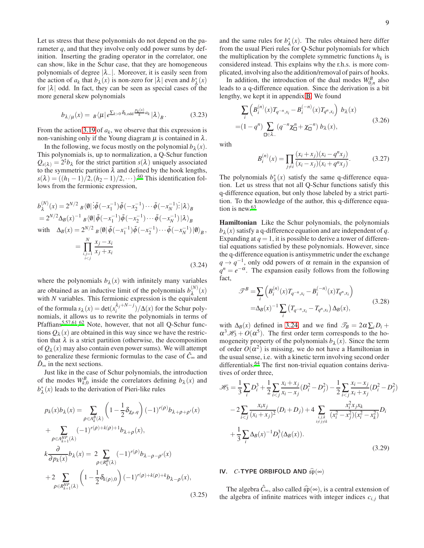Let us stress that these polynomials do not depend on the parameter *q*, and that they involve only odd power sums by definition. Inserting the grading operator in the correlator, one can show, like in the Schur case, that they are homogeneous polynomials of degree  $|\lambda_{-}|$ . Moreover, it is easily seen from the action of  $a_k$  that  $b_\lambda(x)$  is non-zero for  $|\lambda|$  even and  $b^*_\lambda(x)$ for  $|\lambda|$  odd. In fact, they can be seen as special cases of the more general skew polynomials

$$
b_{\lambda/\mu}(x) = B\langle \mu | e^{\sum_{k>0} \delta_{k,\text{odd}} \frac{p_k(x)}{k} a_k} | \lambda \rangle_B. \tag{3.23}
$$

From the action [3.19](#page-7-0) of  $a_k$ , we observe that this expression is non-vanishing only if the Young diagram  $\mu$  is contained in  $\lambda$ .

In the following, we focus mostly on the polynomial  $b_{\lambda}(x)$ . This polynomials is, up to normalization, a Q-Schur function  $Q_{s(\lambda)} = 2^{\sharp}b_{\lambda}$  for the strict partition  $s(\lambda)$  uniquely associated to the symmetric partition  $\lambda$  and defined by the hook lengths,  $s(\lambda) = ((h_1 - 1)/2, (h_2 - 1)/2, \cdots)$ .<sup>[60](#page-22-6)</sup> This identification follows from the fermionic expression,

$$
b_{\lambda}^{(N)}(x) = 2^{N/2} B \langle \emptyset | \, \tilde{\phi}(-x_{1}^{-1}) \tilde{\phi}(-x_{2}^{-1}) \cdots \tilde{\phi}(-x_{N}^{-1}) \, \tilde{\alpha} \rangle_{B}
$$
  
\n
$$
= 2^{N/2} \Delta_{B}(x)^{-1} B \langle \emptyset | \tilde{\phi}(-x_{1}^{-1}) \tilde{\phi}(-x_{2}^{-1}) \cdots \tilde{\phi}(-x_{N}^{-1}) | \lambda \rangle_{B}
$$
  
\nwith 
$$
\Delta_{B}(x) = 2^{N/2} B \langle \emptyset | \tilde{\phi}(-x_{1}^{-1}) \tilde{\phi}(-x_{2}^{-1}) \cdots \tilde{\phi}(-x_{N}^{-1}) | \emptyset \rangle_{B},
$$
  
\n
$$
= \prod_{\substack{i,j=1 \ i  
\n(3.24)
$$

where the polynomials  $b_{\lambda}(x)$  with infinitely many variables are obtained as an inductive limit of the polynomials  $b_{\lambda}^{(N)}(x)$ with *N* variables. This fermionic expression is the equivalent of the formula  $s_\lambda(x) = \det(x_i^{\lambda_j+N-j})/\Delta(x)$  for the Schur polynomials, it allows us to rewrite the polynomials in terms of Pfaffians<sup>[5](#page-21-4)[,57](#page-22-3)[,61](#page-22-7)</sup>.<sup>[62](#page-22-8)</sup> Note, however, that not all Q-Schur functions  $Q_{\lambda}(x)$  are obtained in this way since we have the restriction that  $\lambda$  is a strict partition (otherwise, the decomposition of  $Q_{\lambda}(x)$  may also contain even power sums). We will attempt to generalize these fermionic formulas to the case of  $\hat{C}_{\infty}$  and  $\hat{D}_{\infty}$  in the next sections.

Just like in the case of Schur polynomials, the introduction of the modes  $W_{k,0}^B$  inside the correlators defining  $b_\lambda(x)$  and  $b^*_{\lambda}(x)$  leads to the derivation of Pieri-like rules

$$
p_k(x)b_\lambda(x) = \sum_{\rho \in A_k^B(\lambda)} \left(1 - \frac{1}{2} \delta_{\chi_\rho, q}\right) (-1)^{r(\rho)} b_{\lambda + \rho + \rho'}(x)
$$
  
+ 
$$
\sum_{\rho \in A_{k+1}^{HP}(\lambda)} (-1)^{r(\rho) + k(\rho) + 1} b_{\lambda + \rho}(x),
$$
  

$$
k \frac{\partial}{\partial p_k(x)} b_\lambda(x) = 2 \sum_{\rho \in R_k^B(\lambda)} (-1)^{r(\rho)} b_{\lambda - \rho - \rho'}(x)
$$
  
+ 
$$
2 \sum_{\rho \in R_{k+1}^{HP}(\lambda)} \left(1 - \frac{1}{2} \delta_{k(\rho), 0}\right) (-1)^{r(\rho) + k(\rho) + k} b_{\lambda - \rho}(x),
$$
(3.25)

and the same rules for  $b^*_{\lambda}(x)$ . The rules obtained here differ from the usual Pieri rules for Q-Schur polynomials for which the multiplication by the complete symmetric functions  $h_k$  is considered instead. This explains why the r.h.s. is more complicated, involving also the addition/removal of pairs of hooks.

In addition, the introduction of the dual modes  $W_{0,n}^B$  also leads to a q-difference equation. Since the derivation is a bit lengthy, we kept it in appendix [B.](#page-18-0) We found

$$
\sum_{i} \left( B_{i}^{(n)}(x) T_{q^{-n}, x_{i}} - B_{i}^{(-n)}(x) T_{q^{n}, x_{i}} \right) b_{\lambda}(x)
$$
  
=  $(1 - q^{n}) \sum_{\square \in \lambda_{-}} (q^{-n} \chi_{\square}^{n} + \chi_{\square}^{-n}) b_{\lambda}(x),$  (3.26)

with

<span id="page-8-2"></span><span id="page-8-1"></span>
$$
B_i^{(n)}(x) = \prod_{j \neq i} \frac{(x_i + x_j)(x_i - q^n x_j)}{(x_i - x_j)(x_i + q^n x_j)}.
$$
 (3.27)

The polynomials  $b^*_{\lambda}(x)$  satisfy the same q-difference equation. Let us stress that not all Q-Schur functions satisfy this q-difference equation, but only those labeled by a strict partition. To the knowledge of the author, this q-difference equa-tion is new.<sup>[63](#page-22-9)</sup>

<span id="page-8-0"></span>Hamiltonian Like the Schur polynomials, the polynomials  $b_{\lambda}(x)$  satisfy a q-difference equation and are independent of *q*. Expanding at  $q = 1$ , it is possible to derive a tower of differential equations satisfied by these polynomials. However, since the q-difference equation is antisymmetric under the exchange  $q \rightarrow q^{-1}$ , only odd powers of  $\alpha$  remain in the expansion of  $q^n = e^{-\alpha}$ . The expansion easily follows from the following fact,

$$
\mathcal{F}^{B} = \sum_{i} \left( B_{i}^{(n)}(x) T_{q^{-n}, x_{i}} - B_{i}^{(-n)}(x) T_{q^{n}, x_{i}} \right)
$$
  
=  $\Delta_{B}(x)^{-1} \sum_{i} \left( T_{q^{-n}, x_{i}} - T_{q^{n}, x_{i}} \right) \Delta_{B}(x),$  (3.28)

with  $\Delta_B(x)$  defined in [3.24,](#page-8-0) and we find  $\mathcal{T}_B = 2\alpha \sum_i D_i +$  $\alpha^3 \mathcal{H}_3 + O(\alpha^5)$ . The first order term corresponds to the homogeneity property of the polynomials  $b_{\lambda}(x)$ . Since the term of order  $O(\alpha^2)$  is missing, we do not have a Hamiltonian in the usual sense, i.e. with a kinetic term involving second order differentials.<sup>[64](#page-22-10)</sup> The first non-trivial equation contains derivatives of order three,

$$
\mathcal{H}_3 = \frac{1}{3} \sum_i D_i^3 + \frac{1}{2} \sum_{i < j} \frac{x_i + x_j}{x_i - x_j} (D_i^2 - D_j^2) - \frac{1}{2} \sum_{i < j} \frac{x_i - x_j}{x_i + x_j} (D_i^2 - D_j^2) \\
- 2 \sum_{i < j} \frac{x_i x_j}{(x_i + x_j)^2} (D_i + D_j) + 4 \sum_{\substack{i, j, k \ i \neq j \neq k}} \frac{x_i^2 x_j x_k}{(x_i^2 - x_j^2)(x_i^2 - x_k^2)} D_i \\
+ \frac{1}{3} \sum_i \Delta_B(x)^{-1} D_i^3(\Delta_B(x)).\n\tag{3.29}
$$

## IV. *C*-TYPE ORBIFOLD AND  $\widehat{\mathfrak{sp}}(\infty)$

The algebra  $\hat{C}_{\infty}$ , also called  $\hat{\mathfrak{sp}}(\infty)$ , is a central extension of the algebra of infinite matrices with integer indices  $c_{i,j}$  that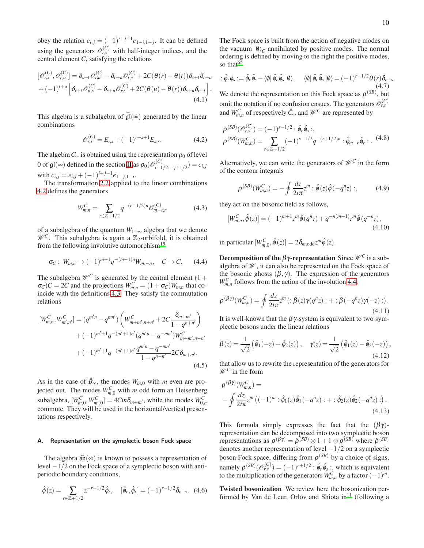obey the relation  $c_{i,j} = (-1)^{i+j+1} c_{1-i,1-j}$ . It can be defined using the generators  $\mathcal{O}_{r,s}^{(C)}$  with half-integer indices, and the central element *C*, satisfying the relations

$$
\begin{split} [\mathscr{O}_{r,s}^{(C)}, \mathscr{O}_{t,u}^{(C)}] &= \delta_{s+t} \mathscr{O}_{r,u}^{(C)} - \delta_{r+u} \mathscr{O}_{t,s}^{(C)} + 2C(\theta(r) - \theta(t)) \delta_{s+t} \delta_{r+u} \\ &+ (-1)^{t+u} \left[ \delta_{r+t} \mathscr{O}_{u,s}^{(C)} - \delta_{s+u} \mathscr{O}_{r,t}^{(C)} + 2C(\theta(u) - \theta(r)) \delta_{s+u} \delta_{r+t} \right]. \end{split} \tag{4.1}
$$

This algebra is a subalgebra of  $\widehat{\mathfrak{gl}}(\infty)$  generated by the linear combinations

<span id="page-9-0"></span>
$$
\mathscr{O}_{r,s}^{(C)} = E_{r,s} + (-1)^{r+s+1} E_{s,r}.
$$
 (4.2)

The algebra  $C_{\infty}$  is obtained using the representation  $\rho_0$  of level 0 of  $\mathfrak{gl}(\infty)$  defined in the section [II](#page-1-3) as  $\rho_0(\mathcal{O}_{i-1}^{(C)})$  $\sum_{i=1/2,-j+1/2}^{(i)} = c_{i,j}$ with  $c_{i,j} = e_{i,j} + (-1)^{i+j+1} e_{1-j,1-i}$ .

The transformation [2.2](#page-1-0) applied to the linear combinations [4.2](#page-9-0) defines the generators

<span id="page-9-1"></span>
$$
W_{m,n}^C = \sum_{r \in \mathbb{Z}+1/2} q^{-(r+1/2)n} \mathcal{O}_{m-r,r}^{(C)} \tag{4.3}
$$

of a subalgebra of the quantum  $W_{1+\infty}$  algebra that we denote  $\mathscr{W}^C$ . This subalgebra is again a  $\mathbb{Z}_2$ -orbifold, it is obtained from the following involutive automorphism<sup>[15](#page-21-14)</sup>

<span id="page-9-2"></span>
$$
\sigma_C: W_{m,n} \to (-1)^{m+1} q^{-(m+1)n} W_{m,-n}, \quad C \to C. \tag{4.4}
$$

The subalgebra  $\mathcal{W}^C$  is generated by the central element (1+  $\sigma_C$ )*C* = 2*C* and the projections  $W_{m,n}^C = (1 + \sigma_C)W_{m,n}$  that coincide with the definitions [4.3.](#page-9-1) They satisfy the commutation relations

$$
[W_{m,n}^{C}, W_{m',n'}^{C}] = (q^{m'n} - q^{mn'}) \left( W_{m+m',n+n'}^{C} + 2C \frac{\delta_{m+m'}}{1 - q^{n+n'}} \right) + (-1)^{m'+1} q^{-(m'+1)n'} (q^{m'n} - q^{-mn'}) W_{m+m',n-n'}^{C} + (-1)^{m'+1} q^{-(m'+1)n'} \frac{q^{m'n} - q^{-mn'}}{1 - q^{n-n'}} 2C \delta_{m+m'}.
$$
\n(4.5)

As in the case of  $\hat{B}_{\infty}$ , the modes  $W_{m,0}$  with *m* even are projected out. The modes  $W_{m,0}^C$  with *m* odd form an Heisenberg subalgebra,  $[W_{m,0}^C, W_{m',0}^C] = 4Cm\delta_{m+m'}$ , while the modes  $W_{0,n}^C$ commute. They will be used in the horizontal/vertical presentations respectively.

# A. Representation on the symplectic boson Fock space

The algebra  $\widehat{\mathfrak{sp}}(\infty)$  is known to possess a representation of level −1/2 on the Fock space of a symplectic boson with antiperiodic boundary conditions,

$$
\hat{\phi}(z) = \sum_{r \in \mathbb{Z}+1/2} z^{-r-1/2} \hat{\phi}_r, \quad [\hat{\phi}_r, \hat{\phi}_s] = (-1)^{r-1/2} \delta_{r+s}.
$$
 (4.6)

The Fock space is built from the action of negative modes on the vacuum  $|0\rangle_C$  annihilated by positive modes. The normal ordering is defined by moving to the right the positive modes, so that $^{65}$  $^{65}$  $^{65}$ 

$$
\hat{\phi}_r \phi_s := \hat{\phi}_r \hat{\phi}_s - \langle \emptyset | \hat{\phi}_r \hat{\phi}_s | \emptyset \rangle, \quad \langle \emptyset | \hat{\phi}_r \hat{\phi}_s | \emptyset \rangle = (-1)^{r-1/2} \theta(r) \delta_{r+s}.
$$
\n(4.7)\nWe denote the representation on this Fock space as  $\rho^{(SB)}$ , but

omit the notation if no confusion ensues. The generators  $\mathcal{O}_{r,s}^{(C)}$ and  $W_{m,n}^C$  of respectively  $\hat{C}_{\infty}$  and  $\mathcal{W}^C$  are represented by

$$
\rho^{(SB)}(\mathcal{O}_{r,s}^{(C)}) = (-1)^{s-1/2} : \hat{\phi}_r \hat{\phi}_s : ,
$$
\n
$$
\rho^{(SB)}(W_{m,n}^C) = \sum_{r \in \mathbb{Z}+1/2} (-1)^{s-1/2} q^{-(r+1/2)n} : \hat{\phi}_{m-r} \hat{\phi}_r : .
$$
\n(4.8)

Alternatively, we can write the generators of  $\mathcal{W}^C$  in the form of the contour integrals

<span id="page-9-3"></span>
$$
\rho^{(SB)}(W_{m,n}^C) = -\oint \frac{dz}{2i\pi} z^m : \hat{\phi}(z)\hat{\phi}(-q^nz) :,\tag{4.9}
$$

they act on the bosonic field as follows,

$$
[W_{m,n}^C, \hat{\phi}(z)] = (-1)^{m+1} z^m \hat{\phi}(q^n z) + q^{-n(m+1)} z^m \hat{\phi}(q^{-n} z),
$$
\n(4.10)

in particular  $[W_{m,0}^C, \hat{\phi}(z)] = 2 \delta_{m, \text{odd}} z^m \hat{\phi}(z)$ .

**Decomposition of the**  $\beta\gamma$ **-representation** Since  $\mathcal{W}^C$  is a subalgebra of  $\mathcal W$ , it can also be represented on the Fock space of the bosonic ghosts  $(\beta, \gamma)$ . The expression of the generators  $W_{m,n}^C$  follows from the action of the involution [4.4,](#page-9-2)

$$
\rho^{(\beta\gamma)}(W_{m,n}^C) = \oint \frac{dz}{2i\pi} z^m \left( : \beta(z)\gamma(q^n z) : + : \beta(-q^n z)\gamma(-z) : \right).
$$
\n(4.11)

It is well-known that the  $\beta \gamma$ -system is equivalent to two symplectic bosons under the linear relations

$$
\beta(z) = \frac{1}{\sqrt{2}} \left( \hat{\phi}_1(-z) + \hat{\phi}_2(z) \right), \quad \gamma(z) = \frac{1}{\sqrt{2}} \left( \hat{\phi}_1(z) - \hat{\phi}_2(-z) \right), \tag{4.12}
$$

that allow us to rewrite the representation of the generators for  $\mathscr{W}^C$  in the form

$$
\rho^{(\beta\gamma)}(W_{m,n}^C) =
$$
  
 
$$
-\oint \frac{dz}{2i\pi} z^m ((-1)^m : \hat{\phi}_1(z)\hat{\phi}_1(-q^nz) : + : \hat{\phi}_2(z)\hat{\phi}_2(-q^nz) :).
$$
 (4.13)

This formula simply expresses the fact that the  $(\beta \gamma)$ representation can be decomposed into two symplectic boson representations as  $\rho^{(\beta\gamma)} = \tilde{\rho}^{(SB)} \otimes 1 + 1 \otimes \rho^{(SB)}$  where  $\tilde{\rho}^{(SB)}$ denotes another representation of level  $-1/2$  on a symplectic boson Fock space, differing from  $\rho^{(SB)}$  by a choice of signs, namely  $\tilde{\rho}^{(SB)}(\mathcal{O}_{r,s}^{(C)}) = (-1)^{r+1/2}$ :  $\hat{\phi}_r \hat{\phi}_s$ : which is equivalent to the multiplication of the generators  $W_{m,n}^C$  by a factor  $(-1)^m$ .

Twisted bosonization We review here the bosonization per-formed by Van de Leur, Orlov and Shiota in<sup>[11](#page-21-10)</sup> (following a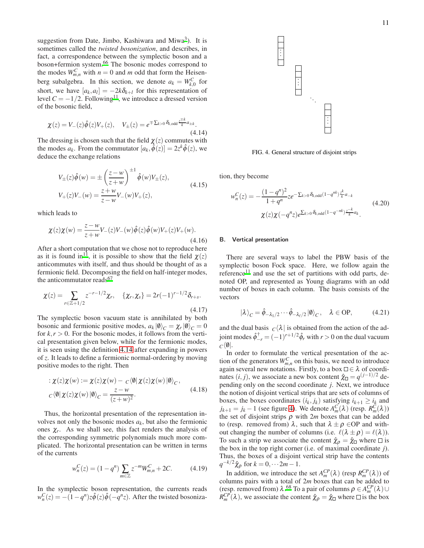suggestion from Date, Jimbo, Kashiwara and Miwa<sup>[3](#page-21-2)</sup>). It is sometimes called the *twisted bosonization*, and describes, in fact, a correspondence between the symplectic boson and a boson+fermion system.[66](#page-22-12) The bosonic modes correspond to the modes  $W_{m,n}^C$  with  $n = 0$  and *m* odd that form the Heisenberg subalgebra. In this section, we denote  $a_k = W_{k,0}^C$  for short, we have  $[a_k, a_l] = -2k\delta_{k+l}$  for this representation of level  $C = -1/2$ . Following<sup>[11](#page-21-10)</sup>, we introduce a dressed version of the bosonic field,

<span id="page-10-0"></span>
$$
\chi(z) = V_-(z)\hat{\phi}(z)V_+(z), \quad V_{\pm}(z) = e^{\mp \sum_{k>0} \delta_{k,\text{odd}} z_k^{\mp k} a_{\pm k}}.
$$
\n(4.14)

The dressing is chosen such that the field  $\chi(z)$  commutes with the modes  $a_k$ . From the commutator  $[a_k, \hat{\phi}(z)] = 2z^k \hat{\phi}(z)$ , we deduce the exchange relations

$$
V_{\pm}(z)\hat{\phi}(w) = \pm \left(\frac{z-w}{z+w}\right)^{\pm 1} \hat{\phi}(w)V_{\pm}(z),
$$
  
\n
$$
V_{+}(z)V_{-}(w) = \frac{z+w}{z-w}V_{-}(w)V_{+}(z),
$$
\n(4.15)

which leads to

$$
\chi(z)\chi(w) = \frac{z-w}{z+w}V_-(z)V_-(w)\hat{\phi}(z)\hat{\phi}(w)V_+(z)V_+(w).
$$
\n(4.16)

After a short computation that we chose not to reproduce here as it is found in<sup>[11](#page-21-10)</sup>, it is possible to show that the field  $\chi(z)$ anticommutes with itself, and thus should be thought of as a fermionic field. Decomposing the field on half-integer modes, the anticommutator reads $67$ 

$$
\chi(z) = \sum_{r \in \mathbb{Z}+1/2} z^{-r-1/2} \chi_r, \quad \{\chi_r, \chi_s\} = 2r(-1)^{r-1/2} \delta_{r+s}.
$$
\n(4.17)

The symplectic boson vacuum state is annihilated by both bosonic and fermionic positive modes,  $a_k |\mathbf{0}\rangle_C = \chi_r |\mathbf{0}\rangle_C = 0$ for  $k, r > 0$ . For the bosonic modes, it follows from the vertical presentation given below, while for the fermionic modes, it is seen using the definition [4.14](#page-10-0) after expanding in powers of *z*. It leads to define a fermionic normal-ordering by moving positive modes to the right. Then

$$
\begin{aligned} \n\mathbf{H} \times \mathbf{H}(\mathbf{X}) \times \mathbf{H}(\mathbf{X}) &= \mathbf{X}(\mathbf{X}) \mathbf{X}(\mathbf{W}) - \mathbf{C} \langle \mathbf{0} | \mathbf{X}(\mathbf{X}) \mathbf{X}(\mathbf{W}) | \mathbf{0} \rangle_{\mathbf{C}}, \\ \n\mathbf{H} \times \mathbf{H}(\mathbf{X}) \times \mathbf{H}(\mathbf{W}) &= \frac{\mathbf{X} - \mathbf{W}}{(\mathbf{X} + \mathbf{W})^2}. \n\end{aligned} \tag{4.18}
$$

Thus, the horizontal presentation of the representation involves not only the bosonic modes  $a_k$ , but also the fermionic ones  $\chi_r$ . As we shall see, this fact renders the analysis of the corresponding symmetric polynomials much more complicated. The horizontal presentation can be written in terms of the currents

$$
w_n^C(z) = (1 - q^n) \sum_{m \in \mathbb{Z}} z^{-m} W_{m,n}^C + 2C.
$$
 (4.19)

In the symplectic boson representation, the currents reads  $w_n^C(z) = -(1 - q^n)z\hat{\phi}(z)\hat{\phi}(-q^n z)$ . After the twisted bosoniza-



. . .

<span id="page-10-1"></span>FIG. 4. General structure of disjoint strips

tion, they become

$$
w_n^C(z) = -\frac{(1-q^n)^2}{1+q^n} z e^{-\sum_{k>0} \delta_{k,odd}(1-q^{nk})\frac{z^k}{k}a_{-k}} \times (4.20)
$$
  

$$
\chi(z)\chi(-q^nz)e^{\sum_{k>0} \delta_{k,odd}(1-q^{-nk})\frac{z^{-k}}{k}a_k}.
$$

# B. Vertical presentation

There are several ways to label the PBW basis of the symplectic boson Fock space. Here, we follow again the  $reference<sup>11</sup>$  $reference<sup>11</sup>$  $reference<sup>11</sup>$  and use the set of partitions with odd parts, denoted OP, and represented as Young diagrams with an odd number of boxes in each column. The basis consists of the vectors

$$
|\lambda\rangle_C = \hat{\phi}_{-\lambda_1/2} \cdots \hat{\phi}_{-\lambda_\ell/2} |\mathbf{0}\rangle_C, \quad \lambda \in \text{OP}, \tag{4.21}
$$

and the dual basis  $C(\lambda)$  is obtained from the action of the adjoint modes  $\hat{\phi}_{-r}^{\dagger} = (-1)^{r+1/2} \hat{\phi}_r$  with  $r > 0$  on the dual vacuum  $C\langle\emptyset|$ .

In order to formulate the vertical presentation of the action of the generators  $W_{m,n}^C$  on this basis, we need to introduce again several new notations. Firstly, to a box  $\Box \in \lambda$  of coordinates  $(i, j)$ , we associate a new box content  $\hat{\chi}_{\Box} = q^{(j-1)/2}$  depending only on the second coordinate *j*. Next, we introduce the notion of disjoint vertical strips that are sets of columns of boxes, the boxes coordinates  $(i_k, j_k)$  satisfying  $i_{k+1} \ge i_k$  and  $j_{k+1} = j_k - 1$  (see figure [4\)](#page-10-1). We denote  $A_m^C(\lambda)$  (resp.  $R_m^C(\lambda)$ ) the set of disjoint strips  $\rho$  with 2*m* boxes that can be added to (resp. removed from)  $\lambda$ , such that  $\lambda \pm \rho$  ∈OP and without changing the number of columns (i.e.  $\ell(\lambda \pm \rho) = \ell(\lambda)$ ). To such a strip we associate the content  $\hat{\chi}_{\rho} = \hat{\chi}_{\Box}$  where  $\Box$  is the box in the top right corner (i.e. of maximal coordinate *j*). Thus, the boxes of a disjoint vertical strip have the contents  $q^{-k/2}\hat{\chi}_{\rho}$  for  $k = 0, \dots 2m - 1$ .

In addition, we introduce the set  $A_m^{CP}(\lambda)$  (resp  $R_m^{CP}(\lambda)$ ) of columns pairs with a total of 2*m* boxes that can be added to (resp. removed from)  $\lambda$ .<sup>[68](#page-22-14)</sup> To a pair of columns  $\rho \in A_m^{CP}(\lambda) \cup$  $R_m^{CP}(\lambda)$ , we associate the content  $\hat{\chi}_\rho = \hat{\chi}_\Box$  where  $\Box$  is the box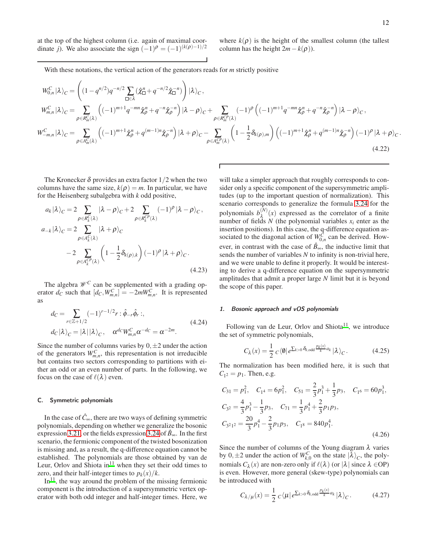at the top of the highest column (i.e. again of maximal coordinate *j*). We also associate the sign  $(-1)^{\rho} = (-1)^{(k(\rho)-1)/2}$ 

where  $k(\rho)$  is the height of the smallest column (the tallest column has the height  $2m-k(\rho)$ ).

With these notations, the vertical action of the generators reads for *m* strictly positive

$$
W_{0,n}^{C}|\lambda\rangle_{C} = \left((1-q^{n/2})q^{-n/2}\sum_{\square\in\lambda}(\hat{\chi}_{\square}^{n}+q^{-n/2}\hat{\chi}_{\square}^{-n})\right)|\lambda\rangle_{C},
$$
  
\n
$$
W_{m,n}^{C}|\lambda\rangle_{C} = \sum_{\rho\in R_{m}^{C}(\lambda)}\left((-1)^{m+1}q^{-mn}\hat{\chi}_{\rho}^{n}+q^{-n}\hat{\chi}_{\rho}^{-n}\right)|\lambda-\rho\rangle_{C}+\sum_{\rho\in R_{m}^{CP}(\lambda)}(-1)^{\rho}\left((-1)^{m+1}q^{-mn}\hat{\chi}_{\rho}^{n}+q^{-n}\hat{\chi}_{\rho}^{-n}\right)|\lambda-\rho\rangle_{C},
$$
  
\n
$$
W_{-m,n}^{C}|\lambda\rangle_{C} = \sum_{\rho\in A_{m}^{C}(\lambda)}\left((-1)^{m+1}\hat{\chi}_{\rho}^{n}+q^{(m-1)n}\hat{\chi}_{\rho}^{-n}\right)|\lambda+\rho\rangle_{C}-\sum_{\rho\in A_{m}^{CP}(\lambda)}\left(1-\frac{1}{2}\delta_{k(\rho),m}\right)\left((-1)^{m+1}\hat{\chi}_{\rho}^{n}+q^{(m-1)n}\hat{\chi}_{\rho}^{-n}\right)(-1)^{\rho}|\lambda+\rho\rangle_{C}.
$$
  
\n(4.22)

The Kronecker  $\delta$  provides an extra factor 1/2 when the two columns have the same size,  $k(\rho) = m$ . In particular, we have for the Heisenberg subalgebra with *k* odd positive,

$$
a_{k}|\lambda\rangle_{C} = 2 \sum_{\rho \in R_{k}^{C}(\lambda)} |\lambda - \rho\rangle_{C} + 2 \sum_{\rho \in R_{k}^{CP}(\lambda)} (-1)^{\rho} |\lambda - \rho\rangle_{C},
$$
  
\n
$$
a_{-k}|\lambda\rangle_{C} = 2 \sum_{\rho \in A_{k}^{C}(\lambda)} |\lambda + \rho\rangle_{C}
$$
  
\n
$$
-2 \sum_{\rho \in A_{k}^{CP}(\lambda)} \left(1 - \frac{1}{2} \delta_{k(\rho),k}\right) (-1)^{\rho} |\lambda + \rho\rangle_{C}.
$$
  
\n(4.23)

The algebra  $\mathcal{W}^C$  can be supplemented with a grading operator  $d_C$  such that  $[d_C, W_{m,n}^C] = -2mW_{m,n}^C$ . It is represented as

$$
d_C = \sum_{r \in \mathbb{Z}+1/2} (-1)^{r-1/2} r : \hat{\phi}_{-r} \hat{\phi}_r : ,
$$
  
\n
$$
d_C |\lambda\rangle_C = |\lambda| |\lambda\rangle_C, \quad \alpha^{d_C} W_{m,n}^C \alpha^{-d_C} = \alpha^{-2m}.
$$
\n(4.24)

Since the number of columns varies by  $0, \pm 2$  under the action of the generators  $W_{m,n}^C$ , this representation is not irreducible but contains two sectors corresponding to partitions with either an odd or an even number of parts. In the following, we focus on the case of  $\ell(\lambda)$  even.

#### C. Symmetric polynomials

In the case of  $\hat{C}^{\infty}$ , there are two ways of defining symmetric polynomials, depending on whether we generalize the bosonic expression [3.21,](#page-7-1) or the fields expression [3.24](#page-8-0) of  $\hat{B}_{\infty}$ . In the first scenario, the fermionic component of the twisted bosonization is missing and, as a result, the q-difference equation cannot be established. The polynomials are those obtained by van de Leur, Orlov and Shiota in<sup>[11](#page-21-10)</sup> when they set their odd times to zero, and their half-integer times to  $p_k(x)/k$ .

 $In<sup>11</sup>$  $In<sup>11</sup>$  $In<sup>11</sup>$ , the way around the problem of the missing fermionic component is the introduction of a supersymmetric vertex operator with both odd integer and half-integer times. Here, we

<span id="page-11-1"></span>will take a simpler approach that roughly corresponds to consider only a specific component of the supersymmetric amplitudes (up to the important question of normalization). This scenario corresponds to generalize the formula [3.24](#page-8-0) for the polynomials  $b_{\lambda}^{(N)}(x)$  expressed as the correlator of a finite number of fields  $N$  (the polynomial variables  $x_i$  enter as the insertion positions). In this case, the q-difference equation associated to the diagonal action of  $W_{0,n}^{\overline{C}}$  can be derived. However, in contrast with the case of  $\hat{B}_{\infty}$ , the inductive limit that sends the number of variables *N* to infinity is non-trivial here, and we were unable to define it properly. It would be interesting to derive a q-difference equation on the supersymmetric amplitudes that admit a proper large *N* limit but it is beyond the scope of this paper.

## 1. Bosonic approach and vOS polynomials

Following van de Leur, Orlov and Shiota<sup>[11](#page-21-10)</sup>, we introduce the set of symmetric polynomials,

<span id="page-11-0"></span>
$$
C_{\lambda}(x) = \frac{1}{2} c \langle \emptyset | e^{\sum_{k>0} \delta_{k, \text{odd}} \frac{P_k(x)}{k} a_k} | \lambda \rangle_C.
$$
 (4.25)

The normalization has been modified here, it is such that  $C_{1^2} = p_1$ . Then, e.g.

$$
C_{31} = p_1^2, \quad C_{14} = 6p_1^2, \quad C_{51} = \frac{2}{3}p_1^3 + \frac{1}{3}p_3, \quad C_{16} = 60p_1^3,
$$
  
\n
$$
C_{32} = \frac{4}{3}p_1^3 - \frac{1}{3}p_3, \quad C_{71} = \frac{1}{3}p_1^4 + \frac{2}{3}p_1p_3,
$$
  
\n
$$
C_{321^2} = \frac{20}{3}p_1^4 - \frac{2}{3}p_1p_3, \quad C_{18} = 840p_1^4.
$$
\n(4.26)

Since the number of columns of the Young diagram  $\lambda$  varies by  $0, \pm 2$  under the action of  $W_{k,0}^C$  on the state  $|\lambda\rangle_C$ , the polynomials  $C_{\lambda}(x)$  are non-zero only if  $\ell(\lambda)$  (or  $|\lambda|$  since  $\lambda \in$ OP) is even. However, more general (skew-type) polynomials can be introduced with

$$
C_{\lambda/\mu}(x) = \frac{1}{2} c \langle \mu | e^{\sum_{k>0} \delta_{k,\text{odd}} \frac{p_k(x)}{k} a_k} | \lambda \rangle_C.
$$
 (4.27)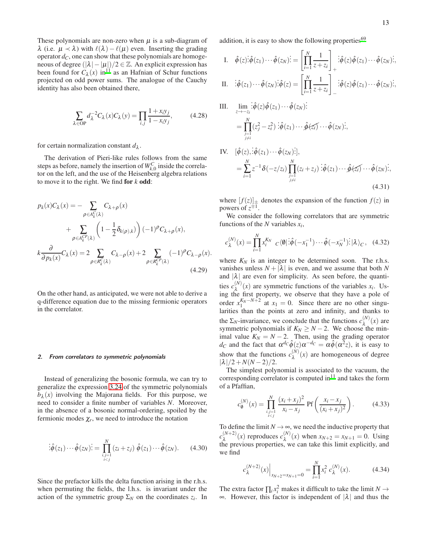These polynomials are non-zero when  $\mu$  is a sub-diagram of  $λ$  (i.e.  $μ \prec λ$ ) with  $ℓ(λ) – ℓ(μ)$  even. Inserting the grading operator  $d_C$ , one can show that these polynomials are homogeneous of degree  $(|\lambda| - |\mu|)/2 \in \mathbb{Z}$ . An explicit expression has been found for  $C_{\lambda}(x)$  in<sup>[11](#page-21-10)</sup> as an Hafnian of Schur functions projected on odd power sums. The analogue of the Cauchy identity has also been obtained there,

$$
\sum_{\lambda \in \text{OP}} d_{\lambda}^{-2} C_{\lambda}(x) C_{\lambda}(y) = \prod_{i,j} \frac{1 + x_i y_j}{1 - x_i y_j},\tag{4.28}
$$

for certain normalization constant  $d_{\lambda}$ .

The derivation of Pieri-like rules follows from the same steps as before, namely the insertion of  $W_{k,0}^C$  inside the correlator on the left, and the use of the Heisenberg algebra relations to move it to the right. We find for *k* odd:

$$
p_k(x)C_\lambda(x) = -\sum_{\rho \in A_k^C(\lambda)} C_{\lambda+\rho}(x)
$$
  
+ 
$$
\sum_{\rho \in A_k^{CP}(\lambda)} \left(1 - \frac{1}{2} \delta_{k(\rho),k}\right) (-1)^{\rho} C_{\lambda+\rho}(x),
$$
  

$$
k \frac{\partial}{\partial p_k(x)} C_\lambda(x) = 2 \sum_{\rho \in R_k^C(\lambda)} C_{\lambda-\rho}(x) + 2 \sum_{\rho \in R_k^{CP}(\lambda)} (-1)^{\rho} C_{\lambda-\rho}(x).
$$
(4.29)

On the other hand, as anticipated, we were not able to derive a q-difference equation due to the missing fermionic operators in the correlator.

#### 2. From correlators to symmetric polynomials

Instead of generalizing the bosonic formula, we can try to generalize the expression [3.24](#page-8-0) of the symmetric polynomials  $b_{\lambda}(x)$  involving the Majorana fields. For this purpose, we need to consider a finite number of variables *N*. Moreover, in the absence of a bosonic normal-ordering, spoiled by the fermionic modes  $\chi_r$ , we need to introduce the notation

$$
\begin{aligned}\n\vdots \hat{\phi}(z_1) \cdots \hat{\phi}(z_N) \dot{\mathbf{i}} &= \prod_{\substack{i,j=1 \\ i < j}}^N (z_i + z_j) \; \hat{\phi}(z_1) \cdots \hat{\phi}(z_N).\n\end{aligned}\n\tag{4.30}
$$

Since the prefactor kills the delta function arising in the r.h.s. when permuting the fields, the l.h.s. is invariant under the action of the symmetric group  $\Sigma_N$  on the coordinates  $z_i$ . In addition, it is easy to show the following properties<sup>[69](#page-22-15)</sup>

I. 
$$
\hat{\phi}(z)\hat{\phi}(z_1)\cdots\hat{\phi}(z_N)\hat{\phi}(z_N)\hat{\phi}(z_N)\hat{\phi}(z_1)\cdots\hat{\phi}(z_N)\hat{\phi}(z_1)\cdots\hat{\phi}(z_N)\hat{\phi}(z_N)\hat{\phi}(z_N)\hat{\phi}(z_N)\hat{\phi}(z_N)\hat{\phi}(z_N)\hat{\phi}(z_N)\hat{\phi}(z_N)\hat{\phi}(z_N)\hat{\phi}(z_N)\hat{\phi}(z_N)\hat{\phi}(z_N)\hat{\phi}(z_N)\hat{\phi}(z_N)\hat{\phi}(z_N)\hat{\phi}(z_N)\hat{\phi}(z_N)\hat{\phi}(z_N)\hat{\phi}(z_N)\hat{\phi}(z_N)\hat{\phi}(z_N)\hat{\phi}(z_N)\hat{\phi}(z_N)\hat{\phi}(z_N)\hat{\phi}(z_N)\hat{\phi}(z_N)\hat{\phi}(z_N)\hat{\phi}(z_N)\hat{\phi}(z_N)\hat{\phi}(z_N)\hat{\phi}(z_N)\hat{\phi}(z_N)\hat{\phi}(z_N)\hat{\phi}(z_N)\hat{\phi}(z_N)\hat{\phi}(z_N)\hat{\phi}(z_N)\hat{\phi}(z_N)\hat{\phi}(z_N)\hat{\phi}(z_N)\hat{\phi}(z_N)\hat{\phi}(z_N)\hat{\phi}(z_N)\hat{\phi}(z_N)\hat{\phi}(z_N)\hat{\phi}(z_N)\hat{\phi}(z_N)\hat{\phi}(z_N)\hat{\phi}(z_N)\hat{\phi}(z_N)\hat{\phi}(z_N)\hat{\phi}(z_N)\hat{\phi}(z_N)\hat{\phi}(z_N)\hat{\phi}(z_N)\hat{\phi}(z_N)\hat{\phi}(z_N)\hat{\phi}(z_N)\hat{\phi}(z_N)\hat{\phi}(z_N)\hat{\phi}(z_N)\hat{\phi}(z_N)\hat{\phi}(z_N)\hat{\phi}(z_N)\hat{\phi}(z_N)\hat{\phi}(z_N)\hat{\phi}(z_N)\hat{\phi}(z_N)\hat{\phi}(z_N)\hat{\phi}(z_N)\hat{\phi}(z_N)\hat{\phi}(z_N)\hat{\phi}(z_N)\hat{\phi}(z_N)\hat{\phi}(z_N)\hat{\phi}(z_N)\hat{\phi}(z_N)\hat{\phi}(z_N)\hat{\phi}(z_N)\hat{\phi}(z_N)\hat{\phi}(z_N)\hat{\phi}(z_N)\hat{\phi}(z_N)\hat{\phi}(z_N)\hat{\phi}(z_N)\hat{\phi}(z_N)\hat{\phi}(z_N)\hat{\phi}(z_N)\hat{\phi}(z_N)\hat{\phi}(z_N)\hat{\phi}(z_N)\hat{\phi}(z_N)\hat{\phi}(z_N)\hat{\phi}(z_N)\hat{\phi}(z_N)\hat{\phi}(z_N)\hat{\phi}(z_N)\hat{\phi}(z_N)\hat{\phi}(
$$

II. 
$$
\mathbf{i}\hat{\phi}(z_1)\cdots\hat{\phi}(z_N)\mathbf{i}\hat{\phi}(z) = \left[\prod_{i=1}^N \frac{1}{z+z_i}\right]_{-}\mathbf{i}\hat{\phi}(z)\hat{\phi}(z_1)\cdots\hat{\phi}(z_N)\mathbf{i},
$$

III. 
$$
\lim_{z \to -z_i} \hat{\phi}(z) \hat{\phi}(z_1) \cdots \hat{\phi}(z_N) \hat{\phi}(z_N) = \prod_{\substack{j=1 \\ j \neq i}}^N (z_j^2 - z_i^2) \hat{\phi}(z_1) \cdots \hat{\phi}(z_i) \cdots \hat{\phi}(z_N) \hat{\phi}(z_N) \hat{\phi}(z_N)
$$

IV. 
$$
[\hat{\phi}(z), \dot{\hat{\phi}}(z_1) \cdots \hat{\phi}(z_N);]
$$
,  
\n
$$
= \sum_{i=1}^N z^{-1} \delta(-z/z_i) \prod_{\substack{j=1 \ j \neq i}}^N (z_i + z_j) \dot{\hat{\phi}}(z_1) \cdots \hat{\phi}(z_i) \cdots \hat{\phi}(z_N);
$$
\n(4.31)

where  $[f(z)]_{\pm}$  denotes the expansion of the function  $f(z)$  in powers of  $z^{\pm 1}$ .

We consider the following correlators that are symmetric functions of the *N* variables *x<sup>i</sup>* ,

$$
c_{\lambda}^{(N)}(x) = \prod_{i=1}^{N} x_i^{K_N} \ c \langle \emptyset | \, \dot{\hat{\phi}}(-x_1^{-1}) \cdots \hat{\phi}(-x_N^{-1}) \, \dot{\hat{\phi}}(x_N^{-1}) \, \dot{\hat{\phi}}(x_N^{-1}) \, \dot{\hat{\phi}}(x_N^{-1}) \, \dot{\hat{\phi}}(x_N^{-1}) \, \dot{\hat{\phi}}(x_N^{-1}) \, \dot{\hat{\phi}}(x_N^{-1}) \, \dot{\hat{\phi}}(x_N^{-1}) \, \dot{\hat{\phi}}(x_N^{-1}) \, \dot{\hat{\phi}}(x_N^{-1}) \, \dot{\hat{\phi}}(x_N^{-1}) \, \dot{\hat{\phi}}(x_N^{-1}) \, \dot{\hat{\phi}}(x_N^{-1}) \, \dot{\hat{\phi}}(x_N^{-1}) \, \dot{\hat{\phi}}(x_N^{-1}) \, \dot{\hat{\phi}}(x_N^{-1}) \, \dot{\hat{\phi}}(x_N^{-1}) \, \dot{\hat{\phi}}(x_N^{-1}) \, \dot{\hat{\phi}}(x_N^{-1}) \, \dot{\hat{\phi}}(x_N^{-1}) \, \dot{\hat{\phi}}(x_N^{-1}) \, \dot{\hat{\phi}}(x_N^{-1}) \, \dot{\hat{\phi}}(x_N^{-1}) \, \dot{\hat{\phi}}(x_N^{-1}) \, \dot{\hat{\phi}}(x_N^{-1}) \, \dot{\hat{\phi}}(x_N^{-1}) \, \dot{\hat{\phi}}(x_N^{-1}) \, \dot{\hat{\phi}}(x_N^{-1}) \, \dot{\hat{\phi}}(x_N^{-1}) \, \dot{\hat{\phi}}(x_N^{-1}) \, \dot{\hat{\phi}}(x_N^{-1}) \, \dot{\hat{\phi}}(x_N^{-1}) \, \dot{\hat{\phi}}(x_N^{-1}) \, \dot{\hat{\phi}}(x_N^{-1}) \, \dot{\hat{\phi}}(x_N^{-1}) \, \dot{\hat{\phi}}(x_N^{-1}) \, \dot{\hat{\phi}}(x_N^{-1}) \, \dot{\hat{\phi}}(x_N^{-1}) \, \dot{\hat{\phi}}(x_N^{-1}) \, \dot{\hat{\phi}}(x_N^{-1}) \, \dot{\hat{\phi}}(x_N^{-1}) \, \dot{\hat{\phi}}(x_N^{-1}) \, \dot{\hat{\phi}}(x_N^{-1}) \, \dot{\hat{\phi}}(x_N^{-1}) \, \dot{\hat{\phi}}(x_N^{-1}) \, \dot{\hat{\phi}}(x_N^{-1}) \, \dot{\hat{\phi}}(x_N^{-1}) \,
$$

<span id="page-12-0"></span>where  $K_N$  is an integer to be determined soon. The r.h.s. vanishes unless  $N + |\lambda|$  is even, and we assume that both N and  $|\lambda|$  are even for simplicity. As seen before, the quantities  $c_{\lambda}^{(N)}(x)$  are symmetric functions of the variables  $x_i$ . Using the first property, we observe that they have a pole of order  $x_1^{K_N - N + 2}$  at  $x_1 = 0$ . Since there are no other singularities than the points at zero and infinity, and thanks to the  $\Sigma_N$ -invariance, we conclude that the functions  $c_{\lambda}^{(N)}(x)$  are symmetric polynomials if  $K_N \ge N - 2$ . We choose the minimal value  $K_N = N - 2$ . Then, using the grading operator *d*<sub>*C*</sub> and the fact that  $\alpha^{d_c}\hat{\phi}(z)\alpha^{-d_c} = \alpha \hat{\phi}(\alpha^2 z)$ , it is easy to show that the functions  $c_{\lambda}^{(N)}(x)$  are homogeneous of degree  $|\lambda|/2 + N(N-2)/2$ .

The simplest polynomial is associated to the vacuum, the corresponding correlator is computed  $in<sup>11</sup>$  $in<sup>11</sup>$  $in<sup>11</sup>$  and takes the form of a Pfaffian,

$$
c_0^{(N)}(x) = \prod_{\substack{i,j=1\\i
$$

To define the limit  $N \rightarrow \infty$ , we need the inductive property that  $c_{\lambda}^{(N+2)}(x)$  reproduces  $c_{\lambda}^{(N)}(x)$  when  $x_{N+2} = x_{N+1} = 0$ . Using the previous properties, we can take this limit explicitly, and we find

$$
c_{\lambda}^{(N+2)}(x)\Big|_{x_{N+2}=x_{N+1}=0} = \prod_{i=1}^{N} x_i^2 c_{\lambda}^{(N)}(x). \tag{4.34}
$$

The extra factor  $\prod_i x_i^2$  makes it difficult to take the limit  $N \rightarrow$  $\infty$ . However, this factor is independent of  $|\lambda|$  and thus the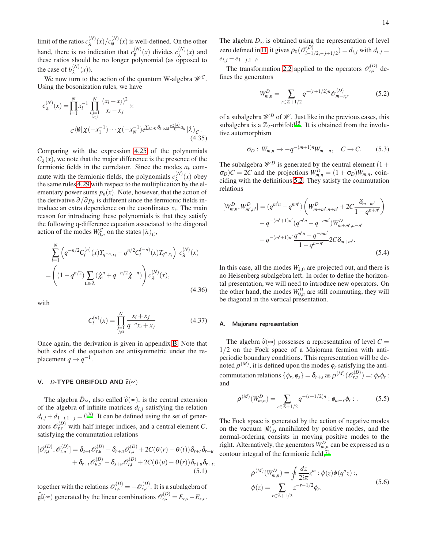limit of the ratios  $c_{\lambda}^{(N)}(x)/c_{\emptyset}^{(N)}$  $\binom{N}{0}(x)$  is well-defined. On the other hand, there is no indication that  $c_0^{(N)}$  $\binom{N}{0}(x)$  divides  $c_{\lambda}^{(N)}(x)$  and these ratios should be no longer polynomial (as opposed to the case of  $b_{\lambda}^{(N)}(x)$ ).

We now turn to the action of the quantum W-algebra  $\mathcal{W}^C$ . Using the bosonization rules, we have

$$
c_{\lambda}^{(N)}(x) = \prod_{i=1}^{N} x_i^{-1} \prod_{\substack{i,j=1 \\ i0} \delta_{k, \text{odd}} \frac{P_k(x)}{k} a_k} | \lambda \rangle_C.
$$
\n(4.35)

Comparing with the expression [4.25](#page-11-0) of the polynomials  $C_{\lambda}(x)$ , we note that the major difference is the presence of the fermionic fields in the correlator. Since the modes  $a_k$  commute with the fermionic fields, the polynomials  $c_{\lambda}^{(N)}(x)$  obey the same rules [4.29](#page-12-0) with respect to the multiplication by the elementary power sums  $p_k(x)$ . Note, however, that the action of the derivative  $\partial/\partial p_k$  is different since the fermionic fields introduce an extra dependence on the coordinates  $x_i$ . The main reason for introducing these polynomials is that they satisfy the following q-difference equation associated to the diagonal action of the modes  $W_{0,n}^C$  on the states  $|\lambda\rangle_C$ ,

$$
\sum_{i=1}^{N} \left( q^{-n/2} C_i^{(n)}(x) T_{q^{-n}, x_i} - q^{n/2} C_i^{(-n)}(x) T_{q^n, x_i} \right) c_{\lambda}^{(N)}(x)
$$
\n
$$
= \left( (1 - q^{n/2}) \sum_{\square \in \lambda} (\hat{\chi}_{\square}^n + q^{-n/2} \hat{\chi}_{\square}^{-n}) \right) c_{\lambda}^{(N)}(x), \tag{4.36}
$$

with

$$
C_i^{(n)}(x) = \prod_{\substack{j=1 \ j \neq i}}^N \frac{x_i + x_j}{q^{-n} x_i + x_j}
$$
(4.37)

Once again, the derivation is given in appendix [B.](#page-18-0) Note that both sides of the equation are antisymmetric under the replacement  $q \to q^{-1}$ .

#### V. *D*-TYPE ORBIFOLD AND  $\hat{\theta}(\infty)$

The algebra  $\hat{D}_{\infty}$ , also called  $\hat{\sigma}(\infty)$ , is the central extension of the algebra of infinite matrices  $d_{i,j}$  satisfying the relation  $d_{i,j} + d_{1-i,1-j} = 0^{70}$  $d_{i,j} + d_{1-i,1-j} = 0^{70}$  $d_{i,j} + d_{1-i,1-j} = 0^{70}$ . It can be defined using the set of generators  $\mathcal{O}_{r,s}^{(D)}$  with half integer indices, and a central element *C*, satisfying the commutation relations

$$
\begin{aligned} [\mathscr{O}_{r,s}^{(D)}, \mathscr{O}_{t,u}^{(D)}] &= \delta_{s+t} \mathscr{O}_{r,u}^{(D)} - \delta_{r+u} \mathscr{O}_{t,s}^{(D)} + 2C(\theta(r) - \theta(t)) \delta_{s+t} \delta_{r+u} \\ &+ \delta_{r+t} \mathscr{O}_{u,s}^{(D)} - \delta_{s+u} \mathscr{O}_{r,t}^{(D)} + 2C(\theta(u) - \theta(r)) \delta_{s+u} \delta_{r+t}, \end{aligned} \tag{5.1}
$$

together with the relations  $\mathcal{O}_{r,s}^{(D)} = -\mathcal{O}_{s,r}^{(D)}$ . It is a subalgebra of  $\widehat{\mathfrak{gl}}(\infty)$  generated by the linear combinations  $\widehat{\mathcal{O}}_{r,s}^{(D)} = E_{r,s} - E_{s,r}$ . The algebra *D*<sup>∞</sup> is obtained using the representation of level zero defined in [II,](#page-1-3) it gives  $\rho_0(\mathscr{O}_{i-1}^{(D)})$  $\int_{i-1/2,-j+1/2}^{i(D)}$  = *di*, *j* with *di*, *j* =  $e_{i,j} - e_{1-j,1-i}$ .

The transformation [2.2](#page-1-0) applied to the operators  $\mathcal{O}_{r,s}^{(D)}$  defines the generators

<span id="page-13-0"></span>
$$
W_{m,n}^D = \sum_{r \in \mathbb{Z}+1/2} q^{-(r+1/2)n} \mathcal{O}_{m-r,r}^{(D)} \tag{5.2}
$$

of a subalgebra  $\mathcal{W}^D$  of  $\mathcal{W}$ . Just like in the previous cases, this subalgebra is a  $\mathbb{Z}_2$ -orbifold<sup>[15](#page-21-14)</sup>. It is obtained from the involutive automorphism

<span id="page-13-1"></span>
$$
\sigma_D: W_{m,n} \to -q^{-(m+1)n} W_{m,-n}, \quad C \to C. \tag{5.3}
$$

The subalgebra  $\mathcal{W}^D$  is generated by the central element (1 +  $\sigma_D$ )*C* = 2*C* and the projections  $W_{m,n}^D = (1 + \sigma_D)W_{m,n}$ , coinciding with the definitions [5.2.](#page-13-0) They satisfy the commutation relations

$$
[W_{m,n}^{D}, W_{m',n'}^{D}] = (q^{m'n} - q^{mn'}) \left( W_{m+m',n+n'}^{D} + 2C \frac{\delta_{m+m'}}{1 - q^{n+n'}} \right)
$$

$$
-q^{-(m'+1)n'} (q^{m'n} - q^{-mn'}) W_{m+m',n-n'}^{D}
$$

$$
-q^{-(m'+1)n'} \frac{q^{m'n} - q^{-mn'}}{1 - q^{n-n'}} 2C \delta_{m+m'}.
$$
(5.4)

<span id="page-13-3"></span>In this case, all the modes  $W_{k,0}$  are projected out, and there is no Heisenberg subalgebra left. In order to define the horizontal presentation, we will need to introduce new operators. On the other hand, the modes  $W_{0,n}^D$  are still commuting, they will be diagonal in the vertical presentation.

# A. Majorana representation

The algebra  $\hat{\sigma}(\infty)$  possesses a representation of level  $C =$ 1/2 on the Fock space of a Majorana fermion with antiperiodic boundary conditions. This representation will be denoted  $\rho^{(M)}$ , it is defined upon the modes  $\phi_r$  satisfying the anticommutation relations  $\{\phi_r, \phi_s\} = \delta_{r+s}$  as  $\rho^{(M)}(\mathcal{O}_{r,s}^{(D)}) =: \phi_r \phi_s$ : and

<span id="page-13-2"></span>
$$
\rho^{(M)}(W_{m,n}^D) = \sum_{r \in \mathbb{Z}+1/2} q^{-(r+1/2)n} : \phi_{m-r} \phi_r : . \tag{5.5}
$$

The Fock space is generated by the action of negative modes on the vacuum  $|0\rangle_D$  annihilated by positive modes, and the normal-ordering consists in moving positive modes to the right. Alternatively, the generators  $W_{m,n}^D$  can be expressed as a contour integral of the fermionic field, $^{71}$  $^{71}$  $^{71}$ 

$$
\rho^{(M)}(W_{m,n}^D) = \oint \frac{dz}{2i\pi} z^m : \phi(z)\phi(q^n z) : ,
$$
  
\n
$$
\phi(z) = \sum_{r \in \mathbb{Z}+1/2} z^{-r-1/2} \phi_r.
$$
\n(5.6)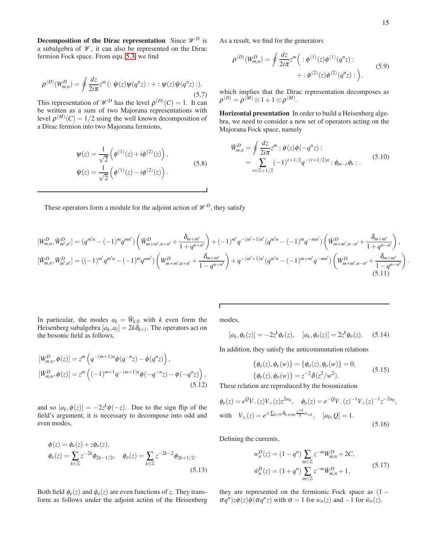.

Decomposition of the Dirac representation Since  $\mathcal{W}^D$  is a subalgebra of  $\mathcal W$ , it can also be represented on the Dirac fermion Fock space. From equ. [5.3,](#page-13-1) we find

$$
\rho^{(D)}(W_{m,n}^D) = \oint \frac{dz}{2i\pi} z^m \left( : \bar{\psi}(z)\psi(q^n z) : + : \psi(z)\bar{\psi}(q^n z) : \right).
$$
\n(5.7)

This representation of  $\mathcal{W}^D$  has the level  $\rho^{(D)}(C) = 1$ . It can be written as a sum of two Majorana representations with level  $\rho^{(M)}(C) = 1/2$  using the well known decomposition of a Dirac fermion into two Majorana fermions,

$$
\Psi(z) = \frac{1}{\sqrt{2}} \left( \phi^{(1)}(z) + i\phi^{(2)}(z) \right),
$$
  
\n
$$
\bar{\Psi}(z) = \frac{1}{\sqrt{2}} \left( \phi^{(1)}(z) - i\phi^{(2)}(z) \right).
$$
\n(5.8)

As a result, we find for the generators

$$
\rho^{(D)}(W_{m,n}^D) = \oint \frac{dz}{2i\pi} z^m \Big( : \phi^{(1)}(z)\phi^{(1)}(q^n z) : + : \phi^{(2)}(z)\phi^{(2)}(q^n z) : \Big), \tag{5.9}
$$

which implies that the Dirac representation decomposes as  $\rho^{(D)} = \rho^{(M)} \otimes 1 + 1 \otimes \rho^{(M)}.$ 

Horizontal presentation In order to build a Heisenberg algebra, we need to consider a new set of operators acting on the Majorana Fock space, namely

$$
\bar{W}_{m,n}^D = \oint \frac{dz}{2i\pi} z^m : \phi(z)\phi(-q^nz) :
$$
\n
$$
= \sum_{r \in \mathbb{Z}+1/2} (-1)^{r+1/2} q^{-(r+1/2)n} : \phi_{m-r}\phi_r : .
$$
\n(5.10)

These operators form a module for the adjoint action of  $\mathcal{W}^D$ , they satisfy

$$
[W_{m,n}^{D}, \bar{W}_{m',n'}^{D}] = (q^{m'n} - (-1)^m q^{mn'}) \left( \bar{W}_{m+m',n+n'}^{D} + \frac{\delta_{m+m'}}{1+q^{n+n'}} \right) + (-1)^{m'} q^{-(m'+1)n'} (q^{m'n} - (-1)^m q^{-mn'}) \left( \bar{W}_{m+m',n-n'}^{D} + \frac{\delta_{m+m'}}{1+q^{n-n'}} \right),
$$
  
\n
$$
[\bar{W}_{m,n}^{D}, \bar{W}_{m',n'}^{D}] = ((-1)^{m'} q^{m'n} - (-1)^m q^{mn'}) \left( W_{m+m',n+n'}^{D} + \frac{\delta_{m+m'}}{1-q^{n+n'}} \right) + q^{-(m'+1)n'} (q^{m'n} - (-1)^{m+m'} q^{-mn'}) \left( W_{m+m',n-n'}^{D} + \frac{\delta_{m+m'}}{1-q^{n-n'}} \right)
$$
\n(5.11)

In particular, the modes  $a_k = \bar{W}_{k,0}$  with *k* even form the Heisenberg subalgebra  $[a_k, a_l] = 2k\delta_{k+l}$ . The operators act on the bosonic field as follows,

$$
[W_{m,n}^D, \phi(z)] = z^m \left( q^{-(m+1)n} \phi(q^{-n} z) - \phi(q^n z) \right),
$$
  
\n
$$
[\bar{W}_{m,n}^D, \phi(z)] = z^m \left( (-1)^{m+1} q^{-(m+1)n} \phi(-q^{-n} z) - \phi(-q^n z) \right),
$$
\n(5.12)

and so  $[a_k, \phi(z)] = -2z^k\phi(-z)$ . Due to the sign flip of the field's argument, it is necessary to decompose into odd and even modes,

$$
\phi(z) = \phi_e(z) + z\phi_o(z),
$$
  
\n
$$
\phi_e(z) = \sum_{k \in \mathbb{Z}} z^{-2k} \phi_{2k-1/2}, \quad \phi_o(z) = \sum_{k \in \mathbb{Z}} z^{-2k-2} \phi_{2k+1/2}.
$$
\n(5.13)

Both field  $\phi_e(z)$  and  $\phi_o(z)$  are even functions of *z*. They transform as follows under the adjoint action of the Heisenberg modes,

Г

$$
[a_k, \phi_e(z)] = -2z^k \phi_e(z), \quad [a_k, \phi_o(z)] = 2z^k \phi_o(z). \quad (5.14)
$$

In addition, they satisfy the anticommutation relations

$$
\begin{aligned} \{\phi_e(z), \phi_e(w)\} &= \{\phi_o(z), \phi_o(w)\} = 0, \\ \{\phi_e(z), \phi_o(w)\} &= z^{-2} \delta(z^2/w^2). \end{aligned} \tag{5.15}
$$

<span id="page-14-0"></span>These relation are reproduced by the bosonization

$$
\phi_e(z) = e^Q V_-(z) V_+(z) z^{2a_0}, \quad \phi_o(z) = e^{-Q} V_-(z)^{-1} V_+(z)^{-1} z^{-2a_0},
$$
  
with  $V_{\pm}(z) = e^{\pm \sum_{k>0} \delta_{k,\text{even}} \frac{z^{\mp k}}{k} a_{\pm k}}, \quad [a_0, Q] = 1.$  (5.16)

Defining the currents,

$$
w_n^D(z) = (1 - q^n) \sum_{m \in \mathbb{Z}} z^{-m} W_{m,n}^D + 2C,
$$
  

$$
\bar{w}_n^D(z) = (1 + q^n) \sum_{m \in \mathbb{Z}} z^{-m} \bar{W}_{m,n}^D + 1,
$$
 (5.17)

they are represented on the fermionic Fock space as  $(1 \sigma q^n$ ) $z\phi(z)\phi(\sigma q^n z)$  with  $\sigma = 1$  for  $w_n(z)$  and  $-1$  for  $\bar{w}_n(z)$ .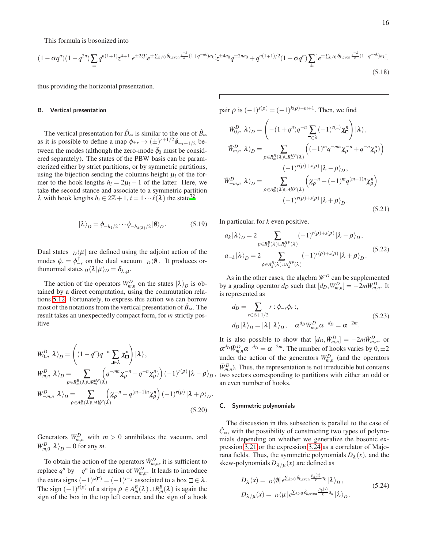This formula is bosonized into

$$
(1 - \sigma q^{n})(1 - q^{2n}) \sum_{\pm} q^{n(1+1)} z^{4+1} e^{\pm 2Q} e^{\pm \sum_{k \neq 0} \delta_{k,\text{even}} \frac{z^{-k}}{k}(1 + q^{-nk}) a_k} z^{4a_0} q^{\pm 2na_0} + q^{n(1+1)/2} (1 + \sigma q^{n}) \sum_{\pm} \frac{z^{k}}{k} e^{\pm \sum_{k \neq 0} \delta_{k,\text{even}} \frac{z^{-k}}{k}(1 - q^{-nk}) a_k}.
$$
\n
$$
(5.18)
$$

thus providing the horizontal presentation.

## B. Vertical presentation

The vertical presentation for  $\hat{D}_{\infty}$  is similar to the one of  $\hat{B}_{\infty}$ as it is possible to define a map  $\phi_{\pm r} \to (\pm)^{r+1/2} \tilde{\phi}_{\pm r \pm 1/2}$  between the modes (although the zero-mode  $\tilde{\phi}_0$  must be considered separately). The states of the PBW basis can be parameterized either by strict partitions, or by symmetric partitions, using the bijection sending the columns height  $\mu_i$  of the former to the hook lengths  $h_i = 2\mu_i - 1$  of the latter. Here, we take the second stance and associate to a symmetric partition  $\lambda$  with hook lengths  $h_i \in 2\mathbb{Z}+1$ ,  $i = 1 \cdots \ell(\lambda)$  the state<sup>[72](#page-22-18)</sup>

$$
|\lambda\rangle_D = \phi_{-h_1/2} \cdots \phi_{-h_{d(\lambda)}/2} |\emptyset\rangle_D. \tag{5.19}
$$

Dual states  $D(\mu)$  are defined using the adjoint action of the modes  $\phi_r = \phi_{-r}^{\dagger}$  on the dual vacuum  $D/\phi$ . It produces orthonormal states  $D\langle \lambda | \mu \rangle_D = \delta_{\lambda,\mu}$ .

The action of the operators  $W_{m,n}^D$  on the states  $|\lambda\rangle_D$  is obtained by a direct computation, using the commutation relations [5.12.](#page-14-0) Fortunately, to express this action we can borrow most of the notations from the vertical presentation of  $\hat{B}_{\infty}$ . The result takes an unexpectedly compact form, for *m* strictly positive

$$
W_{0,n}^{D} |\lambda\rangle_{D} = \left( (1 - q^{n}) q^{-n} \sum_{\square \in \lambda} \chi_{\square}^{n} \right) |\lambda\rangle,
$$
  
\n
$$
W_{m,n}^{D} |\lambda\rangle_{D} = \sum_{\rho \in R_{m}^{B}(\lambda) \cup R_{n}^{HP}(\lambda)} \left( q^{-mn} \chi_{\rho}^{-n} - q^{-n} \chi_{\rho}^{n} \right) (-1)^{r(\rho)} |\lambda - \rho\rangle_{D}
$$
  
\n
$$
W_{-m,n}^{D} |\lambda\rangle_{D} = \sum_{\rho \in A_{m}^{B}(\lambda) \cup A_{m}^{HP}(\lambda)} \left( \chi_{\rho}^{-n} - q^{(m-1)n} \chi_{\rho}^{n} \right) (-1)^{r(\rho)} |\lambda + \rho\rangle_{D}.
$$
  
\n(5.20)

Generators  $W_{m,n}^D$  with  $m > 0$  annihilates the vacuum, and  $W_{m,0}^D |\lambda\rangle_D = 0$  for any *m*.

To obtain the action of the operators  $\bar{W}_{m,n}^D$ , it is sufficient to replace  $q^n$  by  $-q^n$  in the action of  $W_{m,n}^D$ . It leads to introduce the extra signs  $(-1)^{s(\Box)} = (-1)^{i-j}$  associated to a box  $\Box \in \lambda$ . The sign  $(-1)^{s(\rho)}$  of a strips  $\rho \in A_m^B(\lambda) \cup R_m^B(\lambda)$  is again the sign of the box in the top left corner, and the sign of a hook pair  $\rho$  is  $(-1)^{s(\rho)} = (-1)^{k(\rho)-m+1}$ . Then, we find  $\bar{W}_{0,n}^D \ket{\lambda}_D =$  $\sqrt{ }$  $-(1+q^n)q^{-n}$  ∑ ∈<sup>λ</sup>  $(-1)^{s(\Box)} \chi_{\Box}^n$  $|\lambda\rangle,$  $\left. \bar{W}^D_{m,n} \left| \lambda \right\rangle_D = \qquad \quad \sum$  $\rho \in R_m^B(\lambda) \cup R_m^{HP}(\lambda)$  $((-1)^{m}q^{-mn}\chi_{\rho}^{-n}+q^{-n}\chi_{\rho}^{n})$  $(-1)^{r(\rho)+s(\rho)}|\lambda-\rho\rangle_D,$  $\bar{W}^D_{-m,n}|\lambda\rangle_D = \sum_{D \in \Omega_D}$  $\rho \in A_m^B(\lambda) \cup A_m^{HP}(\lambda)$  $(\chi_{\rho}^{-n} + (-1)^m q^{(m-1)n} \chi_{\rho}^n)$  $(-1)^{r(\rho)+s(\rho)}|\lambda+\rho\rangle_D$ . (5.21)

In particular, for *k* even positive,

$$
a_k |\lambda\rangle_D = 2 \sum_{\rho \in R_k^B(\lambda) \cup R_k^{HP}(\lambda)} (-1)^{r(\rho) + s(\rho)} |\lambda - \rho\rangle_D,
$$
  

$$
a_{-k} |\lambda\rangle_D = 2 \sum_{\rho \in A_k^B(\lambda) \cup A_k^{HP}(\lambda)} (-1)^{r(\rho) + s(\rho)} |\lambda + \rho\rangle_D.
$$
 (5.22)

As in the other cases, the algebra  $\mathcal{W}^D$  can be supplemented by a grading operator  $d_D$  such that  $[d_D, W_{m,n}^D] = -2mW_{m,n}^D$ . It is represented as

$$
d_D = \sum_{r \in \mathbb{Z}+1/2} r : \phi_{-r} \phi_r ;d_D |\lambda\rangle_D = |\lambda| |\lambda\rangle_D, \quad \alpha^{d_D} W_{m,n}^D \alpha^{-d_D} = \alpha^{-2m}.
$$
 (5.23)

, two sectors corresponding to partitions with either an odd or It is also possible to show that  $[d_D, \bar{W}_{m,n}^D] = -2m\bar{W}_{m,n}^D$ , or  $\alpha^{d_D} \overline{W}_{m,n}^D \alpha^{-d_D} = \alpha^{-2m}$ . The number of hooks varies by  $0, \pm 2$ under the action of the generators  $W_{m,n}^D$  (and the operators  $\bar{W}_{m,n}^D$ ). Thus, the representation is not irreducible but contains an even number of hooks.

#### <span id="page-15-0"></span>C. Symmetric polynomials

The discussion in this subsection is parallel to the case of  $\hat{C}_{\infty}$ , with the possibility of constructing two types of polynomials depending on whether we generalize the bosonic expression [3.21](#page-7-1) or the expression [3.24](#page-8-0) as a correlator of Majorana fields. Thus, the symmetric polynomials  $D_{\lambda}(x)$ , and the skew-polynomials  $D_{\lambda/\mu}(x)$  are defined as

$$
D_{\lambda}(x) = D \langle \emptyset | e^{\sum_{k>0} \delta_{k,\text{even}} \frac{P_k(x)}{k} a_k} | \lambda \rangle_D,
$$
  
\n
$$
D_{\lambda/\mu}(x) = D \langle \mu | e^{\sum_{k>0} \delta_{k,\text{even}} \frac{P_k(x)}{k} a_k} | \lambda \rangle_D.
$$
\n(5.24)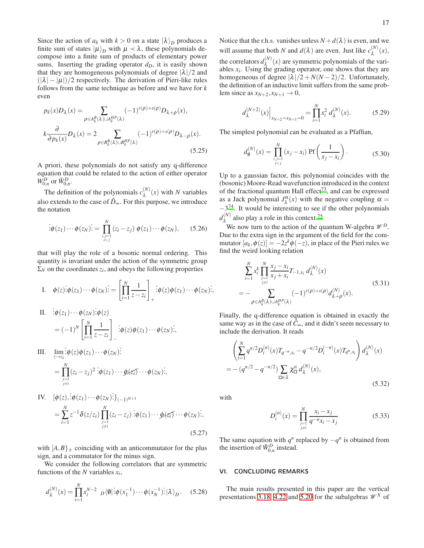Since the action of  $a_k$  with  $k > 0$  on a state  $|\lambda\rangle_D$  produces a finite sum of states  $|\mu\rangle_D$  with  $\mu \prec \lambda$ , these polynomials decompose into a finite sum of products of elementary power sums. Inserting the grading operator  $d<sub>D</sub>$ , it is easily shown that they are homogeneous polynomials of degree  $|\lambda|/2$  and  $(|\lambda| - |\mu|)/2$  respectively. The derivation of Pieri-like rules follows from the same technique as before and we have for *k* even

$$
p_k(x)D_\lambda(x) = \sum_{\rho \in A_k^B(\lambda) \cup A_k^{HP}(\lambda)} (-1)^{r(\rho) + s(\rho)} D_{\lambda + \rho}(x),
$$
  

$$
k \frac{\partial}{\partial p_k(x)} D_\lambda(x) = 2 \sum_{\rho \in R_k^B(\lambda) \cup R_k^{HP}(\lambda)} (-1)^{r(\rho) + s(\rho)} D_{\lambda - \rho}(x).
$$
(5.25)

A priori, these polynomials do not satisfy any q-difference equation that could be related to the action of either operator  $W_{0,n}^D$  or  $\bar{W}_{0,n}^D$ .

The definition of the polynomials  $c_{\lambda}^{(N)}(x)$  with *N* variables also extends to the case of  $\hat{D}_{\infty}$ . For this purpose, we introduce the notation

$$
\vdots \phi(z_1) \cdots \phi(z_N) \dot{:=} \prod_{\substack{i,j=1 \\ i < j}}^N (z_i - z_j) \; \phi(z_1) \cdots \phi(z_N), \qquad (5.26)
$$

that will play the role of a bosonic normal ordering. This quantity is invariant under the action of the symmetric group  $\Sigma_N$  on the coordinates  $z_i$ , and obeys the following properties

I. 
$$
\phi(z) : \phi(z_1) \cdots \phi(z_N) : = \left[ \prod_{i=1}^N \frac{1}{z - z_i} \right]_+ : \phi(z) \phi(z_1) \cdots \phi(z_N) :
$$
  
\nII.  $\phi(z_1) \cdots \phi(z_N) : \phi(z)$ 

$$
\begin{aligned} \n\therefore \phi(z_1) \cdots \phi(z_N) & \vdots \phi(z) \\ \n&= (-1)^N \left[ \prod_{i=1}^N \frac{1}{z - z_i} \right]_{-} \n\end{aligned}
$$
\n
$$
\vdots \phi(z) \phi(z_1) \cdots \phi(z_N) \n\vdots,
$$

III. 
$$
\lim_{z \to z_i} \frac{\phi(z)\phi(z_1)\cdots\phi(z_N)}{\phi(z_1)\cdots\phi(z_n)\cdots\phi(z_i)\cdots\phi(z_N)}.
$$

$$
= \prod_{\substack{j=1 \ j \neq i}}^N (z_i - z_j)^2 \phi(z_1)\cdots\phi(z_i)\cdots\phi(z_N);
$$

IV. 
$$
[\phi(z), \dot{\phi}(z_1) \cdots \phi(z_N)\dot{\phi}(z_{N-1})]_{(-1)^{N+1}}
$$
  
= 
$$
\sum_{i=1}^{N} z^{-1} \delta(z/z_i) \prod_{\substack{j=1 \ j \neq i}}^{N} (z_i - z_j) \dot{\phi}(z_1) \cdots \phi(z_N) \dot{\phi}(z_N) \dot{\phi}(z_N)
$$
 (5.27)

with  $[A, B]_{\pm}$  coinciding with an anticommutator for the plus sign, and a commutator for the minus sign.

We consider the following correlators that are symmetric functions of the *N* variables *x<sup>i</sup>* ,

$$
d_{\lambda}^{(N)}(x) = \prod_{i=1}^{N} x_i^{N-2} \, D\langle \emptyset | \, \dot{\phi}(x_1^{-1}) \cdots \phi(x_N^{-1}) \dot{\phi} | \, \lambda \rangle_D. \tag{5.28}
$$

Notice that the r.h.s. vanishes unless  $N + d(\lambda)$  is even, and we will assume that both *N* and  $d(\lambda)$  are even. Just like  $c_{\lambda}^{(N)}(x)$ , the correlators  $d_{\lambda}^{(N)}(x)$  are symmetric polynomials of the variables  $x_i$ . Using the grading operator, one shows that they are homogeneous of degree  $|\lambda|/2 + N(N-2)/2$ . Unfortunately, the definition of an inductive limit suffers from the same problem since as  $x_{N+2}$ ,  $x_{N+1} \rightarrow 0$ ,

$$
d_{\lambda}^{(N+2)}(x)\Big|_{x_{N+2}=x_{N+1}=0} = \prod_{i=1}^{N} x_i^2 d_{\lambda}^{(N)}(x).
$$
 (5.29)

The simplest polynomial can be evaluated as a Pfaffian,

$$
d_{\theta}^{(N)}(x) = \prod_{\substack{i,j=1\\i
$$

Up to a gaussian factor, this polynomial coincides with the (bosonic) Moore-Read wavefunction introduced in the context of the fractional quantum Hall effect<sup>[73](#page-22-19)</sup>, and can be expressed as a Jack polynomial  $J_{\lambda}^{\alpha}(x)$  with the negative coupling  $\alpha =$  $-3^{74}$  $-3^{74}$  $-3^{74}$ . It would be interesting to see if the other polynomials  $d_{\lambda}^{(N)}$  also play a role in this context.<sup>[75](#page-22-21)</sup>

We now turn to the action of the quantum W-algebra  $\mathcal{W}^D$ . Due to the extra sign in the argument of the field for the commutator  $[a_k, \phi(z)] = -2z^k \phi(-z)$ , in place of the Pieri rules we find the weird looking relation

$$
\sum_{i=1}^{N} x_i^k \prod_{\substack{j=1 \ j \neq i}}^{N} \frac{x_j - x_i}{x_j + x_i} T_{-1, x_i} d_{\lambda}^{(N)}(x)
$$
\n
$$
= - \sum_{\rho \in A_k^B(\lambda) \cup A_k^{HP}(\lambda)} (-1)^{r(\rho) + s(\rho)} d_{\lambda + \rho}^{(N)}(x).
$$
\n(5.31)

Finally, the q-difference equation is obtained in exactly the same way as in the case of  $\hat{C}_{\infty}$ , and it didn't seem necessary to include the derivation. It reads

$$
\left(\sum_{i=1}^{N} q^{n/2} D_i^{(n)}(x) T_{q^{-n}, x_i} - q^{-n/2} D_i^{(-n)}(x) T_{q^n, x_i}\right) d_{\lambda}^{(N)}(x)
$$
  
= 
$$
-(q^{n/2} - q^{-n/2}) \sum_{\square \in \lambda} \chi_{\square}^n d_{\lambda}^{(N)}(x),
$$
 (5.32)

with

<span id="page-16-0"></span>
$$
D_i^{(n)}(x) = \prod_{\substack{j=1 \ j \neq i}}^N \frac{x_i - x_j}{q^{-n} x_i - x_j}
$$
(5.33)

The same equation with  $q^n$  replaced by  $-q^n$  is obtained from the insertion of  $\bar{W}_{0,n}^D$  instead.

## VI. CONCLUDING REMARKS

The main results presented in this paper are the vertical presentations [3.18,](#page-7-2) [4.22](#page-11-1) and [5.20](#page-15-0) for the subalgebras  $\mathcal{W}^X$  of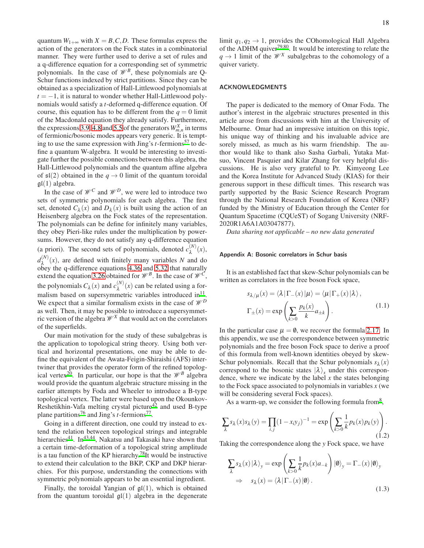quantum  $W_{1+\infty}$  with  $X = B, C, D$ . These formulas express the action of the generators on the Fock states in a combinatorial manner. They were further used to derive a set of rules and a q-difference equation for a corresponding set of symmetric polynomials. In the case of  $\mathcal{W}^B$ , these polynomials are Q-Schur functions indexed by strict partitions. Since they can be obtained as a specialization of Hall-Littlewood polynomials at  $t = -1$ , it is natural to wonder whether Hall-Littlewood polynomials would satisfy a *t*-deformed q-difference equation. Of course, this equation has to be different from the  $q = 0$  limit of the Macdonald equation they already satisfy. Furthermore, the expressions [3.9,](#page-5-3) [4.8](#page-9-3) and [5.5](#page-13-2) of the generators  $W_{m,n}^X$  in terms of fermionic/bosonic modes appears very generic. It is tempting to use the same expression with Jing's *t*-fermions<sup>[57](#page-22-3)</sup> to define a quantum W-algebra. It would be interesting to investigate further the possible connections between this algebra, the Hall-Littlewood polynomials and the quantum affine algebra of  $\mathfrak{sl}(2)$  obtained in the  $q \to 0$  limit of the quantum toroidal  $\mathfrak{gl}(1)$  algebra.

In the case of  $\mathcal{W}^C$  and  $\mathcal{W}^D$ , we were led to introduce two sets of symmetric polynomials for each algebra. The first set, denoted  $C_{\lambda}(x)$  and  $D_{\lambda}(x)$  is built using the action of an Heisenberg algebra on the Fock states of the representation. The polynomials can be define for infinitely many variables, they obey Pieri-like rules under the multiplication by powersums. However, they do not satisfy any q-difference equation (a priori). The second sets of polynomials, denoted  $c_{\lambda}^{(N)}(x)$ ,  $d_{\lambda}^{(N)}(x)$ , are defined with finitely many variables *N* and do obey the q-difference equations [4.36](#page-13-3) and [5.32](#page-16-0) that naturally extend the equation [3.26](#page-8-1) obtained for  $\mathcal{W}^B$ . In the case of  $\mathcal{W}^C$ , the polynomials  $C_{\lambda}(x)$  and  $c_{\lambda}^{(N)}(x)$  can be related using a formalism based on supersymmetric variables introduced  $\text{in}^{11}$  $\text{in}^{11}$  $\text{in}^{11}$ . We expect that a similar formalism exists in the case of  $\mathcal{W}^D$ as well. Then, it may be possible to introduce a supersymmetric version of the algebra  $\mathcal{W}^X$  that would act on the correlators of the superfields.

Our main motivation for the study of these subalgebras is the application to topological string theory. Using both vertical and horizontal presentations, one may be able to define the equivalent of the Awata-Feigin-Shiraishi (AFS) intertwiner that provides the operator form of the refined topolog-ical vertex<sup>[20](#page-21-19)</sup>. In particular, our hope is that the  $\mathcal{W}^B$  algebra would provide the quantum algebraic structure missing in the earlier attempts by Foda and Wheeler to introduce a B-type topological vertex. The latter were based upon the Okounkov-Reshetikhin-Vafa melting crystal picture<sup>[42](#page-21-31)</sup> and used B-type plane partitions<sup>[76](#page-22-22)</sup> and Jing's *t*-fermions<sup>[77](#page-22-23)</sup>.

Going in a different direction, one could try instead to extend the relation between topological strings and integrable hierarchies<sup>[41](#page-21-30)</sup>. In<sup>[43](#page-21-32)[,44](#page-21-44)</sup>, Nakatsu and Takasaki have shown that a certain time-deformation of a topological string amplitude is a tau function of the KP hierarchy.<sup>[78](#page-22-24)</sup>It would be instructive to extend their calculation to the BKP, CKP and DKP hierarchies. For this purpose, understanding the connections with symmetric polynomials appears to be an essential ingredient.

Finally, the toroidal Yangian of  $\mathfrak{gl}(1)$ , which is obtained from the quantum toroidal  $\mathfrak{gl}(1)$  algebra in the degenerate limit  $q_1, q_2 \rightarrow 1$ , provides the COhomological Hall Algebra of the ADHM quiver[79](#page-22-25)[,80](#page-22-26). It would be interesting to relate the  $q \rightarrow 1$  limit of the  $\mathcal{W}^X$  subalgebras to the cohomology of a quiver variety.

## ACKNOWLEDGMENTS

The paper is dedicated to the memory of Omar Foda. The author's interest in the algebraic structures presented in this article arose from discussions with him at the University of Melbourne. Omar had an impressive intuition on this topic, his unique way of thinking and his invaluable advice are sorely missed, as much as his warm friendship. The author would like to thank also Sasha Garbali, Yutaka Matsuo, Vincent Pasquier and Kilar Zhang for very helpful discussions. He is also very grateful to Pr. Kimyeong Lee and the Korea Institute for Advanced Study (KIAS) for their generous support in these difficult times. This research was partly supported by the Basic Science Research Program through the National Research Foundation of Korea (NRF) funded by the Ministry of Education through the Center for Quantum Spacetime (CQUeST) of Sogang University (NRF-2020R1A6A1A03047877).

*Data sharing not applicable – no new data generated*

# <span id="page-17-0"></span>Appendix A: Bosonic correlators in Schur basis

It is an established fact that skew-Schur polynomials can be written as correlators in the free boson Fock space,

<span id="page-17-1"></span>
$$
s_{\lambda/\mu}(x) = \langle \lambda | \Gamma_{-}(x) | \mu \rangle = \langle \mu | \Gamma_{+}(x) | \lambda \rangle,
$$
  

$$
\Gamma_{\pm}(x) = \exp\left(\sum_{k>0} \frac{p_k(x)}{k} a_{\pm k}\right).
$$
 (1.1)

In the particular case  $\mu = \emptyset$ , we recover the formula [2.17.](#page-3-2) In this appendix, we use the correspondence between symmetric polynomials and the free boson Fock space to derive a proof of this formula from well-known identities obeyed by skew-Schur polynomials. Recall that the Schur polynomials  $s_{\lambda}(x)$ correspond to the bosonic states  $|\lambda\rangle$ <sub>x</sub> under this correspondence, where we indicate by the label *x* the states belonging to the Fock space associated to polynomials in variables *x* (we will be considering several Fock spaces).

As a warm-up, we consider the following formula from<sup>[8](#page-21-7)</sup>,

<span id="page-17-2"></span>
$$
\sum_{\lambda} s_{\lambda}(x) s_{\lambda}(y) = \prod_{i,j} (1 - x_i y_j)^{-1} = \exp\left(\sum_{k>0} \frac{1}{k} p_k(x) p_k(y)\right).
$$
\n(1.2)

Taking the correspondence along the *y* Fock space, we have

$$
\sum_{\lambda} s_{\lambda}(x) |\lambda\rangle_{y} = \exp\left(\sum_{k>0} \frac{1}{k} p_{k}(x) a_{-k}\right) |\emptyset\rangle_{y} = \Gamma_{-}(x) |\emptyset\rangle_{y}
$$
  
\n
$$
\Rightarrow s_{\lambda}(x) = \langle \lambda | \Gamma_{-}(x) | \emptyset \rangle.
$$
\n(1.3)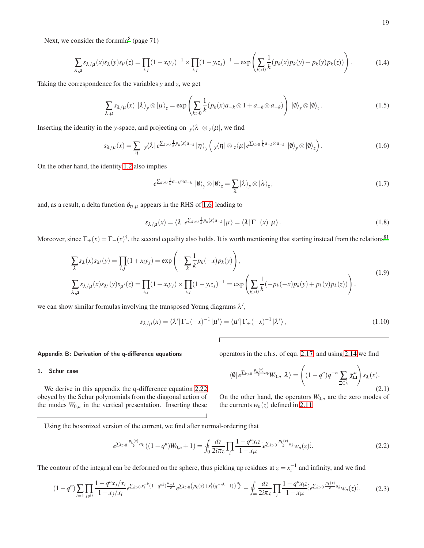Next, we consider the formula<sup>[8](#page-21-7)</sup> (page 71)

$$
\sum_{\lambda,\mu} s_{\lambda/\mu}(x) s_{\lambda}(y) s_{\mu}(z) = \prod_{i,j} (1 - x_i y_j)^{-1} \times \prod_{i,j} (1 - y_i z_j)^{-1} = \exp\left(\sum_{k>0} \frac{1}{k} (p_k(x) p_k(y) + p_k(y) p_k(z))\right).
$$
(1.4)

Taking the correspondence for the variables *y* and *z*, we get

$$
\sum_{\lambda,\mu} s_{\lambda/\mu}(x) \, |\lambda\rangle_{y} \otimes |\mu\rangle_{z} = \exp\left(\sum_{k>0} \frac{1}{k} (p_k(x)a_{-k} \otimes 1 + a_{-k} \otimes a_{-k})\right) \, |\emptyset\rangle_{y} \otimes |\emptyset\rangle_{z}.\tag{1.5}
$$

Inserting the identity in the *y*-space, and projecting on  $\sqrt{\lambda} \otimes \sqrt{\mu}$ , we find

<span id="page-18-1"></span>
$$
s_{\lambda/\mu}(x) = \sum_{\eta} y(\lambda \mid e^{\sum_{k>0} \frac{1}{k} p_k(x)a_{-k}} \mid \eta \rangle_{y} \left( y(\eta \mid \otimes z \langle \mu \mid e^{\sum_{k>0} \frac{1}{k} a_{-k} \otimes a_{-k}} \mid \theta \rangle_{y} \otimes \mid \theta \rangle_{z} \right). \tag{1.6}
$$

On the other hand, the identity [1.2](#page-17-2) also implies

<span id="page-18-3"></span>
$$
e^{\sum_{k>0}\frac{1}{k}a_{-k}\otimes a_{-k}}\left|0\right\rangle_{y}\otimes\left|0\right\rangle_{z}=\sum_{\lambda}\left|\lambda\right\rangle_{y}\otimes\left|\lambda\right\rangle_{z},\tag{1.7}
$$

and, as a result, a delta function  $\delta_{\eta,\mu}$  appears in the RHS of [1.6,](#page-18-1) leading to

$$
s_{\lambda/\mu}(x) = \langle \lambda | e^{\sum_{k>0} \frac{1}{k} p_k(x) a_{-k}} | \mu \rangle = \langle \lambda | \Gamma_{-}(x) | \mu \rangle.
$$
 (1.8)

Moreover, since  $\Gamma_+(x) = \Gamma_-(x)^{\dagger}$ , the second equality also holds. It is worth mentioning that starting instead from the relations<sup>[81](#page-22-27)</sup>

$$
\sum_{\lambda} s_{\lambda}(x) s_{\lambda'}(y) = \prod_{i,j} (1 + x_i y_j) = \exp\left(-\sum_{k} \frac{1}{k} p_k(-x) p_k(y)\right),
$$
\n
$$
\sum_{\lambda,\mu} s_{\lambda/\mu}(x) s_{\lambda'}(y) s_{\mu'}(z) = \prod_{i,j} (1 + x_i y_j) \times \prod_{i,j} (1 - y_i z_j)^{-1} = \exp\left(\sum_{k>0} \frac{1}{k} (-p_k(-x) p_k(y) + p_k(y) p_k(z))\right).
$$
\n(1.9)

Г

we can show similar formulas involving the transposed Young diagrams  $\lambda'$ ,

$$
s_{\lambda/\mu}(x) = \langle \lambda' | \Gamma_-(-x)^{-1} | \mu' \rangle = \langle \mu' | \Gamma_+(-x)^{-1} | \lambda' \rangle, \qquad (1.10)
$$

#### <span id="page-18-0"></span>Appendix B: Derivation of the q-difference equations

operators in the r.h.s. of equ. [2.17,](#page-3-2) and using [2.14](#page-3-4) we find

#### 1. Schur case

We derive in this appendix the q-difference equation [2.22](#page-4-0) obeyed by the Schur polynomials from the diagonal action of the modes  $W_{0,n}$  in the vertical presentation. Inserting these <span id="page-18-2"></span> $\langle \emptyset | e^{\sum_{k>0} \frac{p_k(x)}{k} a_k} W_{0,n} | \lambda \rangle =$  $(1-q^n)q^{-n}$  ∑ ∈<sup>λ</sup> χ *n* ! *s*λ (*x*). (2.1)

 $\sqrt{ }$ 

On the other hand, the operators  $W_{0,n}$  are the zero modes of the currents  $w_n(z)$  defined in [2.11.](#page-2-4)

Using the bosonized version of the current, we find after normal-ordering that

$$
e^{\sum_{k>0}\frac{p_k(x)}{k}a_k}((1-q^n)W_{0,n}+1)=\oint_0\frac{dz}{2i\pi z}\prod_i\frac{1-q^nx_iz}{1-x_iz}e^{\sum_{k>0}\frac{p_k(x)}{k}a_k}w_n(z).
$$
\n(2.2)

The contour of the integral can be deformed on the sphere, thus picking up residues at  $z = x_i^{-1}$  and infinity, and we find

$$
(1-q^n)\sum_{i=1} \prod_{j\neq i} \frac{1-q^n x_j/x_i}{1-x_j/x_i} e^{\sum_{k>0} x_i^{-k}(1-q^{nk})\frac{a_{-k}}{k}} e^{\sum_{k>0} \left(p_k(x)+x_i^k(q^{-nk}-1)\right)\frac{a_k}{k}} - \oint_{\infty} \frac{dz}{2i\pi z} \prod_{i} \frac{1-q^n x_i z}{1-x_i z} e^{\sum_{k>0} \frac{p_k(x)}{k} a_k} w_n(z) \tag{2.3}
$$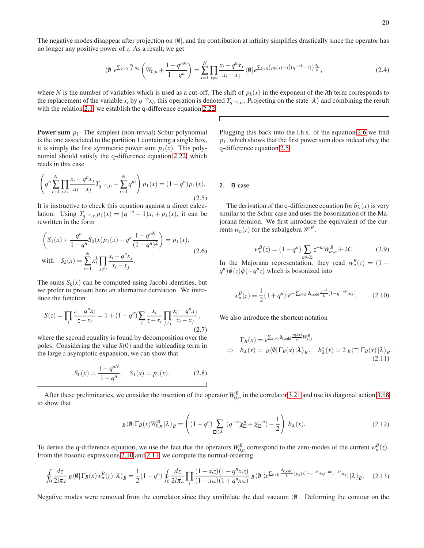The negative modes disappear after projection on  $\langle \emptyset |$ , and the contribution at infinity simplifies drastically since the operator has no longer any positive power of *z*. As a result, we get

$$
\langle \emptyset | e^{\sum_{k>0} \frac{p_k}{k} a_k} \left( W_{0,n} + \frac{1-q^{nN}}{1-q^n} \right) = \sum_{i=1}^N \prod_{j \neq i} \frac{x_i - q^n x_j}{x_i - x_j} \langle \emptyset | e^{\sum_{k>0} \left( p_k(x) + x_i^k (q^{-nk} - 1) \right) \frac{a_k}{k}}, \tag{2.4}
$$

where *N* is the number of variables which is used as a cut-off. The shift of  $p_k(x)$  in the exponent of the *i*th term corresponds to the replacement of the variable *x*<sub>*i*</sub> by  $q^{-n}x_i$ , this operation is denoted  $T_{q^{-n},x_i}$ . Projecting on the state  $|\lambda\rangle$  and combining the result with the relation [2.1,](#page-18-2) we establish the q-difference equation [2.22.](#page-4-0)

 $\Gamma$ 

**Power sum**  $p_1$  The simplest (non-trivial) Schur polynomial is the one associated to the partition 1 containing a single box, it is simply the first symmetric power sum  $p_1(x)$ . This polynomial should satisfy the q-difference equation [2.22,](#page-4-0) which reads in this case

<span id="page-19-1"></span>
$$
\left(q^n \sum_{i=1}^N \prod_{j \neq i} \frac{x_i - q^n x_j}{x_i - x_j} T_{q^{-n}, x_i} - \sum_{i=1}^N q^{ni} \right) p_1(x) = (1 - q^n) p_1(x).
$$
\n(2.5)

It is instructive to check this equation against a direct calculation. Using  $T_{q^{-n},x_i}p_1(x) = (q^{-n}-1)x_i + p_1(x)$ , it can be rewritten in the form

$$
\left(S_1(x) + \frac{q^n}{1-q^n}S_0(x)p_1(x) - q^n \frac{1-q^{nN}}{(1-q^n)^2}\right) = p_1(x),
$$
  
with 
$$
S_k(x) = \sum_{i=1}^N x_i^k \prod_{j \neq i} \frac{x_i - q^nx_j}{x_i - x_j}.
$$
 (2.6)

The sums  $S_k(x)$  can be computed using Jacobi identities, but we prefer to present here an alternative derivation. We introduce the function

$$
S(z) = \prod_{i} \frac{z - q^n x_i}{z - x_i} = 1 + (1 - q^n) \sum_{i} \frac{x_i}{z - x_i} \prod_{j \neq i} \frac{x_i - q^n x_j}{x_i - x_j},
$$
\n(2.7)

where the second equality is found by decomposition over the poles. Considering the value *S*(0) and the subleading term in the large *z* asymptotic expansion, we can show that

$$
S_0(x) = \frac{1 - q^{nN}}{1 - q^n}, \quad S_1(x) = p_1(x). \tag{2.8}
$$

Plugging this back into the l.h.s. of the equation [2.6](#page-19-0) we find *p*1, which shows that the first power sum does indeed obey the q-difference equation [2.5.](#page-19-1)

#### 2. B-case

The derivation of the q-difference equation for  $b_\lambda(x)$  is very similar to the Schur case and uses the bosonization of the Majorana fermion. We first introduce the equivalent of the currents  $w_n(z)$  for the subalgebra  $\mathcal{W}^B$ ,

$$
w_n^B(z) = (1 - q^n) \sum_{m \in \mathbb{Z}} z^{-m} W_{m,n}^B + 2C.
$$
 (2.9)

<span id="page-19-0"></span>In the Majorana representation, they read  $w_n^B(z) = (1 - \frac{m}{z})^B$  $q^n$ ) $\tilde{\phi}(z)\tilde{\phi}(-q^n z)$  which is bosonized into

<span id="page-19-2"></span>
$$
w_n^B(z) = \frac{1}{2} (1+q^n) \dot{e}^{-\sum_{k \in \mathbb{Z}} \delta_{k, \text{odd}} \frac{z^{-k}}{k} (1-q^{-nk}) a_k}.
$$
 (2.10)

We also introduce the shortcut notation

<span id="page-19-4"></span><span id="page-19-3"></span>
$$
\Gamma_B(x) = e^{\sum_{k>0} \delta_{k,\text{odd}}} \frac{P_k(x)}{k} W_{k,0}^B
$$
\n
$$
\Rightarrow b_\lambda(x) = B \langle \emptyset | \Gamma_B(x) | \lambda \rangle_B, b_\lambda^*(x) = 2 B \langle \square | \Gamma_B(x) | \lambda \rangle_B.
$$
\n(2.11)

After these preliminaries, we consider the insertion of the operator  $W_{0,n}^B$  in the correlator [3.21](#page-7-1) and use its diagonal action [3.18](#page-7-2) to show that

$$
B\langle\emptyset|\Gamma_B(x)W_{0,n}^B|\lambda\rangle_B = \left((1-q^n)\sum_{\square\in\lambda_-} (q^{-n}\chi_\square^n + \chi_\square^{-n}) - \frac{1}{2}\right)b_\lambda(x). \tag{2.12}
$$

To derive the q-difference equation, we use the fact that the operators  $W_{0,n}^B$  correspond to the zero-modes of the current  $w_n^B(z)$ . From the bosonic expressions [2.10](#page-19-2) and [2.11,](#page-19-3) we compute the normal-ordering

$$
\oint_0 \frac{dz}{2i\pi z} \, B\left(\theta \middle| \Gamma_B(x) w_n^B(z) \middle| \lambda \right)_B = \frac{1}{2} (1+q^n) \oint_0 \frac{dz}{2i\pi z} \prod_i \frac{(1+x_i z)(1-q^n x_i z)}{(1-x_i z)(1+q^n x_i z)} \, B\left(\theta \middle| \frac{z}{z} \right)_k \phi \left(\frac{\delta_{k,odd}}{k} (p_k(x)-z^{-k}+q^{-nk} z^{-k}) a_k \right) \Big| \lambda \right)_B. \tag{2.13}
$$

Negative modes were removed from the correlator since they annihilate the dual vacuum  $\langle \emptyset |$ . Deforming the contour on the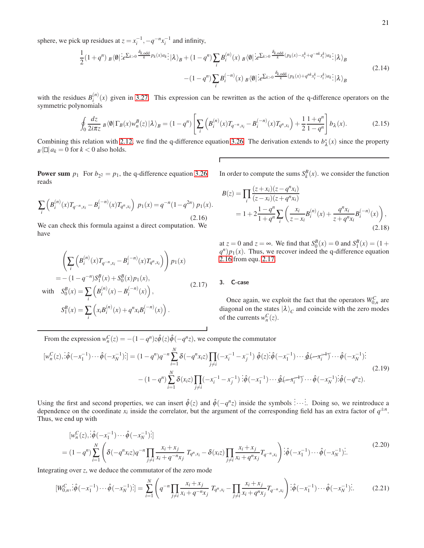sphere, we pick up residues at  $z = x_i^{-1}, -q^{-n}x_i^{-1}$  and infinity,

$$
\frac{1}{2}(1+q^n) \, B\langle\emptyset|\, \frac{\partial}{\partial \xi}\mathcal{L}_{\xi>0} \frac{\delta_{k,\text{odd}}}{k} p_k(x)a_k \, ;\, |\lambda\rangle_B + (1-q^n) \sum_i B_i^{(n)}(x) \, B\langle\emptyset|\, \frac{\partial}{\partial \xi}\mathcal{L}_{\xi>0} \frac{\delta_{k,\text{odd}}}{k} (p_k(x) - x_i^k + q^{-nk}x_i^k)a_k \, ;\, |\lambda\rangle_B
$$
\n
$$
-(1-q^n) \sum_i B_i^{(-n)}(x) \, B\langle\emptyset|\, \frac{\partial}{\partial \xi}\mathcal{L}_{\xi>0} \frac{\delta_{k,\text{odd}}}{k} (p_k(x) + q^{nk}x_i^k - x_i^k)a_k \, ;\, |\lambda\rangle_B
$$
\n
$$
(2.14)
$$

with the residues  $B_i^{(n)}$  $i^{(n)}(x)$  given in [3.27.](#page-8-2) This expression can be rewritten as the action of the q-difference operators on the symmetric polynomials

$$
\oint_0 \frac{dz}{2i\pi z} \, B\langle \emptyset | \Gamma_B(x) w_n^B(z) | \lambda \rangle_B = (1 - q^n) \left[ \sum_i \left( B_i^{(n)}(x) T_{q^{-n}, x_i} - B_i^{(-n)}(x) T_{q^n, x_i} \right) + \frac{1}{2} \frac{1 + q^n}{1 - q^n} \right] b_\lambda(x). \tag{2.15}
$$

Combining this relation with [2.12,](#page-19-4) we find the q-difference equation [3.26.](#page-8-1) The derivation extends to  $b^*_{\lambda}(x)$  since the property  $B\left\{\Box\right|a_k=0 \text{ for } k<0 \text{ also holds.}$ 

 $\Gamma$ 

**Power sum**  $p_1$  For  $b_{2^2} = p_1$ , the q-difference equation [3.26](#page-8-1) reads

<span id="page-20-0"></span>
$$
\sum_{i} \left( B_i^{(n)}(x) T_{q^{-n}, x_i} - B_i^{(-n)}(x) T_{q^n, x_i} \right) \, p_1(x) = q^{-n} (1 - q^{2n}) \, p_1(x). \tag{2.16}
$$

We can check this formula against a direct computation. We have

$$
\left(\sum_{i} \left(B_{i}^{(n)}(x)T_{q^{-n},x_{i}} - B_{i}^{(-n)}(x)T_{q^{n},x_{i}}\right)\right) p_{1}(x)
$$
  
= - (1 - q^{-n})S\_{1}^{B}(x) + S\_{0}^{B}(x)p\_{1}(x), (2.17)

with  $S_0^B(x) = \sum_i$  $\left(B_i^{(n)}\right)$  $B_i^{(n)}(x) - B_i^{(-n)}(x)$ ,

$$
S_1^B(x) = \sum_i \left( x_i B_i^{(n)}(x) + q^n x_i B_i^{(-n)}(x) \right)
$$

In order to compute the sums  $S_k^B(x)$ . we consider the function

$$
B(z) = \prod_{i} \frac{(z + x_i)(z - q^n x_i)}{(z - x_i)(z + q^n x_i)}
$$
  
=  $1 + 2 \frac{1 - q^n}{1 + q^n} \sum_{i} \left( \frac{x_i}{z - x_i} B_i^{(n)}(x) + \frac{q^n x_i}{z + q^n x_i} B_i^{(-n)}(x) \right),$  (2.18)

at *z* = 0 and *z* = ∞. We find that  $S_0^B(x) = 0$  and  $S_1^B(x) = (1 +$  $q^n$ ) $p_1(x)$ . Thus, we recover indeed the q-difference equation [2.16](#page-20-0) from equ. [2.17.](#page-20-1)

# <span id="page-20-1"></span>3. C-case

Once again, we exploit the fact that the operators  $W_{0,n}^C$  are diagonal on the states  $|\lambda\rangle_c$  and coincide with the zero modes of the currents  $w_n^C(z)$ .

From the expression  $w_n^C(z) = -(1 - q^n)z\hat{\phi}(z)\hat{\phi}(-q^n z)$ , we compute the commutator

.

$$
[w_n^C(z), \dot{\hat{\phi}}(-x_1^{-1}) \cdots \hat{\phi}(-x_N^{-1})\dot{\hat{\phi}}] = (1 - q^n)q^{-n} \sum_{i=1}^N \delta(-q^n x_i z) \prod_{j \neq i} (-x_i^{-1} - x_j^{-1}) \hat{\phi}(z) \dot{\hat{\phi}}(-x_1^{-1}) \cdots \hat{\phi}(-x_N^{-1}) \dot{\hat{\phi}}(-x_N^{-1})\dot{\hat{\phi}}(-x_N^{-1})
$$
\n
$$
- (1 - q^n) \sum_{i=1}^N \delta(x_i z) \prod_{j \neq i} (-x_i^{-1} - x_j^{-1}) \dot{\hat{\phi}}(-x_1^{-1}) \cdots \hat{\phi}(-x_N^{-1}) \dot{\hat{\phi}}(-x_N^{-1}) \dot{\hat{\phi}}(-q^n z).
$$
\n(2.19)

Using the first and second properties, we can insert  $\hat{\phi}(z)$  and  $\hat{\phi}(-q^nz)$  inside the symbols :..... Doing so, we reintroduce a dependence on the coordinate  $x_i$  inside the correlator, but the argument of the corresponding field has an extra factor of  $q^{\pm n}$ . Thus, we end up with

$$
[w_n^C(z), \dot{\hat{\phi}}(-x_1^{-1}) \cdots \hat{\phi}(-x_N^{-1})\cdot] = (1 - q^n) \sum_{i=1}^N \left( \delta(-q^n x_i z) q^{-n} \prod_{j \neq i} \frac{x_i + x_j}{x_i + q^{-n} x_j} T_{q^n, x_i} - \delta(x_i z) \prod_{j \neq i} \frac{x_i + x_j}{x_i + q^{n} x_j} T_{q^{-n} x_i} \right) \cdot \hat{\phi}(-x_1^{-1}) \cdots \hat{\phi}(-x_N^{-1}) \cdot \tag{2.20}
$$

Integrating over *z*, we deduce the commutator of the zero mode

$$
[W_{0,n}^C; \hat{\phi}(-x_1^{-1}) \cdots \hat{\phi}(-x_N^{-1})^2] = \sum_{i=1}^N \left( q^{-n} \prod_{j \neq i} \frac{x_i + x_j}{x_i + q^{-n} x_j} T_{q^n, x_i} - \prod_{j \neq i} \frac{x_i + x_j}{x_i + q^n x_j} T_{q^{-n}, x_i} \right) \hat{\phi}(-x_1^{-1}) \cdots \hat{\phi}(-x_N^{-1})^2.
$$
 (2.21)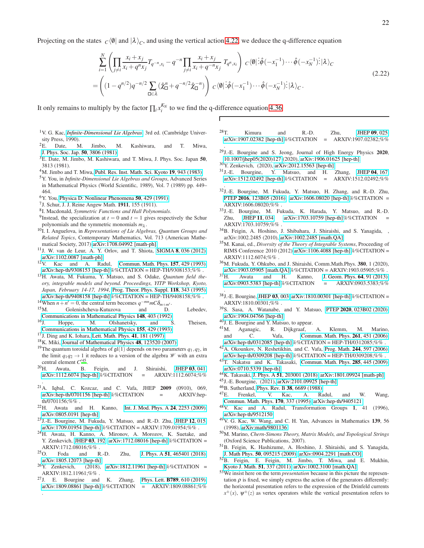Projecting on the states  $C(\emptyset)$  and  $|\lambda\rangle_C$ , and using the vertical action [4.22,](#page-11-1) we deduce the q-difference equation

$$
\sum_{i=1}^{N} \left( \prod_{j \neq i} \frac{x_i + x_j}{x_i + q^n x_j} T_{q^{-n}, x_i} - q^{-n} \prod_{j \neq i} \frac{x_i + x_j}{x_i + q^{-n} x_j} T_{q^n, x_i} \right) c \langle \emptyset | \, \hat{\phi}(-x_1^{-1}) \cdots \hat{\phi}(-x_N^{-1}) \, \hat{z} | \, \lambda \rangle_C
$$
\n
$$
= \left( (1 - q^{n/2}) q^{-n/2} \sum_{\square \in \lambda} (\hat{\chi}_{\square}^n + q^{-n/2} \hat{\chi}_{\square}^{-n}) \right) c \langle \emptyset | \, \hat{\phi}(-x_1^{-1}) \cdots \hat{\phi}(-x_N^{-1}) \, \hat{z} | \, \lambda \rangle_C.
$$
\n
$$
(2.22)
$$

 $\Gamma$ 

It only remains to multiply by the factor  $\prod_i x_i^{K_N}$  to we find the q-difference equation [4.36.](#page-13-3)

- <span id="page-21-0"></span><sup>1</sup>V. G. Kac, *[Infinite-Dimensional Lie Algebras](https://doi.org/10.1017/CBO9780511626234)*, 3rd ed. (Cambridge University Press, 1990).
- <span id="page-21-1"></span> ${}^{2}E$ . Date, M. Jimbo, M. Kashiwara, and T. Miwa, [J. Phys. Soc. Jap.](https://doi.org/10.1143/JPSJ.50.3806) 50, 3806 (1981).
- <span id="page-21-2"></span> ${}^{3}E$ . Date, M. Jimbo, M. Kashiwara, and T. Miwa, J. Phys. Soc. Japan 50, 3813 (1981).
- <span id="page-21-3"></span><sup>4</sup>M. Jimbo and T. Miwa, [Publ. Res. Inst. Math. Sci. Kyoto](https://doi.org/10.2977/prims/1195182017) 19, 943 (1983).
- <span id="page-21-4"></span><sup>5</sup>Y. You, in *Infinite-Dimensional Lie Algebras and Groups*, Advanced Series in Mathematical Physics (World Scientific, 1989), Vol. 7 (1989) pp. 449– 464.
- <span id="page-21-5"></span><sup>6</sup>Y. You, [Physica D: Nonlinear Phenomena](https://doi.org/10.1016/0167-2789(91)90009-X) 50, 429 (1991).
- <span id="page-21-6"></span>7 J. Schur, J. J. Reine Angew Math. 1911, 155 (1911).
- <span id="page-21-7"></span>8 I. Macdonald, *Symmetric Functions and Hall Polynomials*.
- <span id="page-21-8"></span><sup>9</sup>Instead, the specialization at  $t = 0$  and  $t = 1$  gives respectively the Schur polynomials and the symmetric monomials *m*<sub>λ</sub>.
- <span id="page-21-9"></span><sup>10</sup>I. I. Anguelova, in *Representations of Lie Algebras, Quantum Groups and Related Topics*, Contemporary Mathematics, Vol. 713 (American Mathematical Society, 2017) [arXiv:1708.04992 \[math-ph\].](https://arxiv.org/abs/1708.04992)
- <span id="page-21-10"></span><sup>11</sup>J. W. van de Leur, A. Y. Orlov, and T. Shiota, SIGMA 8[, 036 \(2012\),](https://doi.org/10.3842/SIGMA.2012.036) [arXiv:1102.0087 \[math-ph\].](https://arxiv.org/abs/1102.0087)
- <span id="page-21-11"></span><sup>12</sup>V. Kac and A. Radul, [Commun. Math. Phys.](https://doi.org/10.1007/BF02096878) 157, 429 (1993), [arXiv:hep-th/9308153 \[hep-th\]%](https://arxiv.org/abs/hep-th/9308153)%CITATION = HEP-TH/9308153;%% .
- <span id="page-21-12"></span><sup>13</sup>H. Awata, M. Fukuma, Y. Matsuo, and S. Odake, *Quantum field theory, integrable models and beyond. Proceedings, YITP Workshop, Kyoto, Japan, February 14-17, 1994*, [Prog. Theor. Phys. Suppl.](https://doi.org/10.1143/PTPS.118.343) 118, 343 (1995), [arXiv:hep-th/9408158 \[hep-th\]%](https://arxiv.org/abs/hep-th/9408158)%CITATION = HEP-TH/9408158;%% .
- <span id="page-21-13"></span><sup>14</sup>When  $n + n' = 0$ , the central term becomes  $q^{-mn}mC\delta_{m+m'}$ .
- <span id="page-21-14"></span>15<sub>M.</sub> Golenishcheva-Kutuzova and D. Lebedev, [Communications in Mathematical Physics](https://doi.org/10.1007/BF02100868) 148, 403 (1992).<br><sup>16</sup>J. Hoppe. M. Olshanetsky, and S.
- <span id="page-21-15"></span>Hoppe, M. Olshanetsky, and S. Theisen, [Communications in Mathematical Physics](https://doi.org/10.1007/BF02096721) 155, 429 (1993).
- <span id="page-21-16"></span><sup>17</sup>J. Ding and K. Iohara, [Lett. Math. Phys.](https://doi.org/10.1023/A:1007341410987) 41, 181 (1997).
- <span id="page-21-17"></span><sup>18</sup>K. Miki, [Journal of Mathematical Physics](https://doi.org/10.1063/1.2823979) 48, 123520 (2007).
- <span id="page-21-18"></span><sup>19</sup>The quantum toroidal algebra of  $\mathfrak{gl}(1)$  depends on two parameters  $q_1, q_2$ , in the limit  $q_1q_2 \rightarrow 1$  it reduces to a version of the algebra *W* with an extra central element *C* ′[45](#page-21-33) .
- <span id="page-21-19"></span><sup>20</sup>H. Awata, B. Feigin, and J. Shiraishi, [JHEP](https://doi.org/10.1007/JHEP03(2012)041) 03, 041,  $arXiv:1112.6074$  [hep-th]%%CITATION = ARXIV:1112.6074;%%
- <span id="page-21-20"></span>. <sup>21</sup>A. Iqbal, C. Kozcaz, and C. Vafa, JHEP **2009** (0910), 069, arXiv:hep-th/0701156 [hep-th]%%CITATION = ARXIV:hep[arXiv:hep-th/0701156 \[hep-th\]%](https://arxiv.org/abs/hep-th/0701156)%CITATION  $=$ th/0701156;%% .
- <span id="page-21-21"></span><sup>22</sup>H. Awata and H. Kanno, [Int. J. Mod. Phys. A](https://doi.org/10.1142/S0217751X09043006) 24, 2253 (2009), [arXiv:0805.0191 \[hep-th\].](https://arxiv.org/abs/0805.0191)
- <span id="page-21-22"></span><sup>23</sup>J.-E. Bourgine, M. Fukuda, Y. Matsuo, and R.-D. Zhu, [JHEP](https://doi.org/10.1007/JHEP12(2017)015) 12, 015, [arXiv:1709.01954 \[hep-th\]%](https://arxiv.org/abs/1709.01954)%CITATION = ARXIV:1709.01954;%%.
- <sup>24</sup>H. Awata, H. Kanno, A. Mironov, A. Morozov, K. Suetake, and Y. Zenkevich, [JHEP](https://doi.org/10.1007/JHEP03(2018)192) 03, 192, [arXiv:1712.08016 \[hep-th\]%](https://arxiv.org/abs/1712.08016)%CITATION =
- $ARXIV:1712.08016;%$ .<br>  ${}^{25}$ O Foda and R Foda and R.-D. Zhu, J. Phys. A 51[, 465401 \(2018\),](https://doi.org/10.1088/1751-8121/aae654)
- [arXiv:1805.12073 \[hep-th\].](https://arxiv.org/abs/1805.12073)<br><sup>26</sup>Y. Zenkevich, (2018),  $(2018)$ , [arXiv:1812.11961 \[hep-th\]%](https://arxiv.org/abs/1812.11961)%CITATION = ARXIV:1812.11961;%% .
- <span id="page-21-38"></span><sup>27</sup>J. E. Bourgine and K. Zhang, Phys. Lett. **B789**[, 610 \(2019\),](https://doi.org/10.1016/j.physletb.2018.11.066) [arXiv:1809.08861 \[hep-th\]%](https://arxiv.org/abs/1809.08861)%CITATION = ARXIV:1809.08861;%%

.

- $^{28}$ T. Kimura and R.-D. Zhu, [JHEP](https://doi.org/10.1007/JHEP09(2019)025) 09, 025, [arXiv:1907.02382 \[hep-th\]%](https://arxiv.org/abs/1907.02382)%CITATION = ARXIV:1907.02382;%% .
- $29$ J.-E. Bourgine and S. Jeong, Journal of High Energy Physics 2020, [10.1007/jhep05\(2020\)127](https://doi.org/10.1007/jhep05(2020)127) (2020), [arXiv:1906.01625 \[hep-th\].](https://arxiv.org/abs/1906.01625)
- <span id="page-21-23"></span><sup>30</sup>Y. Zenkevich, (2020), [arXiv:2012.15563 \[hep-th\].](https://arxiv.org/abs/2012.15563)
- <span id="page-21-24"></span><sup>31</sup>J.-E. Bourgine, Y. Matsuo, and H. Zhang, [JHEP](https://doi.org/10.1007/JHEP04(2016)167) 04, 167, [arXiv:1512.02492 \[hep-th\]%](https://arxiv.org/abs/1512.02492)%CITATION = ARXIV:1512.02492;%% .
- <sup>32</sup>J.-E. Bourgine, M. Fukuda, Y. Matsuo, H. Zhang, and R.-D. Zhu, PTEP 2016[, 123B05 \(2016\),](https://doi.org/10.1093/ptep) [arXiv:1606.08020 \[hep-th\]%](https://arxiv.org/abs/1606.08020)%CITATION = ARXIV:1606.08020;%% .
- <span id="page-21-25"></span><sup>33</sup>J.-E. Bourgine, M. Fukuda, K. Harada, Y. Matsuo, and R.-D. Zhu, [JHEP](https://doi.org/10.1007/JHEP11(2017)034) 11, 034, [arXiv:1703.10759 \[hep-th\]%](https://arxiv.org/abs/1703.10759)%CITATION = ARXIV:1703.10759;%% .
- <span id="page-21-26"></span><sup>34</sup>B. Feigin, A. Hoshino, J. Shibahara, J. Shiraishi, and S. Yanagida, , arXiv:1002.2485 (2010), [arXiv:1002.2485 \[math.QA\].](https://arxiv.org/abs/1002.2485)
- <sup>35</sup>M. Kanai, ed., *Diversity of the Theory of Integrable Systems*, Proceeding of RIMS Conference 2010 (2012) [arXiv:1106.4088 \[hep-th\]%](https://arxiv.org/abs/1106.4088)%CITATION = ARXIV:1112.6074;%% .
- <span id="page-21-27"></span><sup>36</sup>M. Fukuda, Y. Ohkubo, and J. Shiraishi, Comm.Math.Phys. 380, 1 (2020),  $arXiv:1903.05905$  [math.QA]%%CITATION = ARXIV:1903.05905;%% .<br><sup>37</sup>H Awata and H. Kanno, J. Geom. Phys. **64**, 91 (2013).
- Awata and H. Kanno, [J. Geom. Phys.](https://doi.org/10.1016/j.geomphys.2012.10.014) 64, 91 (2013), [arXiv:0903.5383 \[hep-th\]%](https://arxiv.org/abs/0903.5383)%CITATION = ARXIV:0903.5383;%%
- <span id="page-21-43"></span><sup>38</sup>J.-E. Bourgine, [JHEP](https://doi.org/10.1007/JHEP03(2019)003) 03, 003, [arXiv:1810.00301 \[hep-th\]%](https://arxiv.org/abs/1810.00301)%CITATION = ARXIV:1810.00301;%% .
- <span id="page-21-28"></span><sup>39</sup>S. Sasa, A. Watanabe, and Y. Matsuo, PTEP 2020[, 023B02 \(2020\),](https://doi.org/10.1093/ptep/ptz158) [arXiv:1904.04766 \[hep-th\].](https://arxiv.org/abs/1904.04766)
- <span id="page-21-29"></span><sup>40</sup>J. E. Bourgine and Y. Matsuo, to appear.

.

- <span id="page-21-30"></span><sup>41</sup>M. Aganagic, R. Dijkgraaf, A. Klemm, M. Marino, and C. Vafa, [Commun. Math. Phys.](https://doi.org/10.1007/s00220-005-1448-9) 261, 451 (2006), [arXiv:hep-th/0312085 \[hep-th\]%](https://arxiv.org/abs/hep-th/0312085)%CITATION = HEP-TH/0312085;%%.
- <span id="page-21-31"></span><sup>42</sup>A. Okounkov, N. Reshetikhin, and C. Vafa, Prog. Math. **244**[, 597 \(2006\),](https://doi.org/10.1007/0-8176-4467-9_16)
- <span id="page-21-32"></span>[arXiv:hep-th/0309208 \[hep-th\]%](https://arxiv.org/abs/hep-th/0309208)%CITATION = HEP-TH/0309208;%% . <sup>43</sup>T. Nakatsu and K. Takasaki, [Commun. Math. Phys.](https://doi.org/10.1007/s00220-008-0583-5) 285, 445 (2009), [arXiv:0710.5339 \[hep-th\].](https://arxiv.org/abs/0710.5339)
- <span id="page-21-44"></span><sup>44</sup>K. Takasaki, J. Phys. A 51[, 203001 \(2018\),](https://doi.org/10.1088/1751-8121/aabc14) [arXiv:1801.09924 \[math-ph\].](https://arxiv.org/abs/1801.09924)
- <span id="page-21-33"></span><sup>45</sup>J.-E. Bourgine, (2021), [arXiv:2101.09925 \[hep-th\].](https://arxiv.org/abs/2101.09925)
- <span id="page-21-34"></span>46B. Sutherland, Phys. Rev. B 38[, 6689 \(1988\).](https://doi.org/10.1103/PhysRevB.38.6689)<br> $^{47}E$ . Frenkel, V. Kac. A. Ra
- <span id="page-21-35"></span>A. Radul, and W. Wang, [Commun. Math. Phys.](https://doi.org/10.1007/BF02108332) 170, 337 (1995), [arXiv:hep-th/9405121.](https://arxiv.org/abs/hep-th/9405121)
- <span id="page-21-36"></span><sup>48</sup>V. Kac and A. Radul, Transformation Groups 1, 41 (1996), [arXiv:hep-th/9512150.](https://arxiv.org/abs/hep-th/9512150)
- <span id="page-21-37"></span><sup>49</sup>V. G. Kac, W. Wang, and C. H. Yan, Advances in Mathematics 139, 56 (1998), [arXiv:math/9801136.](https://arxiv.org/abs/math/9801136)
- <span id="page-21-39"></span><sup>50</sup>M. Marino, *Chern-Simons Theory, Matrix Models, and Topological Strings* (Oxford Science Publications, 2007).
- <span id="page-21-40"></span><sup>51</sup>B. Feigin, K. Hashizume, A. Hoshino, J. Shiraishi, and S. Yanagida, J. Math Phys. 50[, 095215 \(2009\),](https://doi.org/10.1063/1.3192773) [arXiv:0904.2291 \[math.CO\].](https://arxiv.org/abs/0904.2291)
- <span id="page-21-41"></span><sup>52</sup>B. Feigin, E. Feigin, M. Jimbo, T. Miwa, and E. Mukhin, [Kyoto J. Math.](https://doi.org/10.1215/21562261-1214375) 51, 337 (2011), [arXiv:1002.3100 \[math.QA\].](https://arxiv.org/abs/1002.3100)
- <span id="page-21-42"></span><sup>53</sup>We insist here on the term *presentation* because in this picture the representation  $\rho$  is fixed, we simply express the action of the generators differently: the horizontal presentation refers to the expression of the Drinfeld currents  $x^{\pm}(x)$ ,  $\psi^{\pm}(z)$  as vertex operators while the vertical presentation refers to